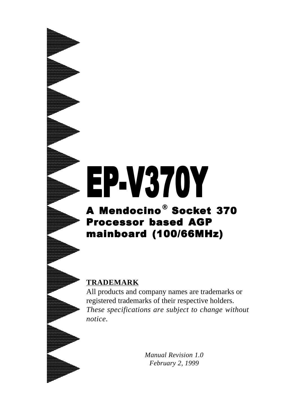# **EP-V370Y** A Mendocino**®** Socket 370 Processor based AGP

# mainboard (100/66MHz)

#### **TRADEMARK**

All products and company names are trademarks or registered trademarks of their respective holders. *These specifications are subject to change without notice.*

> *Manual Revision 1.0 February 2, 1999*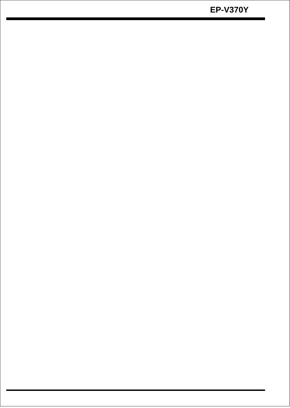**EP-V370Y**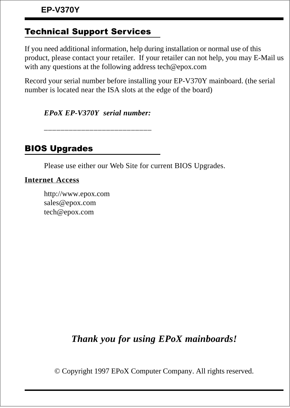#### Technical Support Services

If you need additional information, help during installation or normal use of this product, please contact your retailer. If your retailer can not help, you may E-Mail us with any questions at the following address tech@epox.com

Record your serial number before installing your EP-V370Y mainboard. (the serial number is located near the ISA slots at the edge of the board)

#### *EPoX EP-V370Y serial number:*

\_\_\_\_\_\_\_\_\_\_\_\_\_\_\_\_\_\_\_\_\_\_\_\_\_\_

#### BIOS Upgrades

Please use either our Web Site for current BIOS Upgrades.

#### **Internet Access**

http://www.epox.com sales@epox.com tech@epox.com

### *Thank you for using EPoX mainboards!*

© Copyright 1997 EPoX Computer Company. All rights reserved.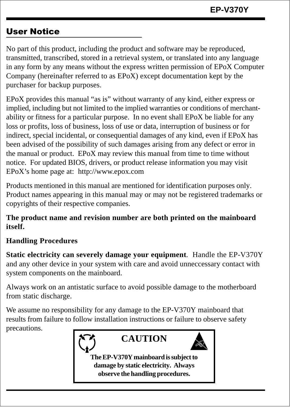#### User Notice

No part of this product, including the product and software may be reproduced, transmitted, transcribed, stored in a retrieval system, or translated into any language in any form by any means without the express written permission of EPoX Computer Company (hereinafter referred to as EPoX) except documentation kept by the purchaser for backup purposes.

EPoX provides this manual "as is" without warranty of any kind, either express or implied, including but not limited to the implied warranties or conditions of merchantability or fitness for a particular purpose. In no event shall EPoX be liable for any loss or profits, loss of business, loss of use or data, interruption of business or for indirect, special incidental, or consequential damages of any kind, even if EPoX has been advised of the possibility of such damages arising from any defect or error in the manual or product. EPoX may review this manual from time to time without notice. For updated BIOS, drivers, or product release information you may visit EPoX's home page at: http://www.epox.com

Products mentioned in this manual are mentioned for identification purposes only. Product names appearing in this manual may or may not be registered trademarks or copyrights of their respective companies.

#### **The product name and revision number are both printed on the mainboard itself.**

#### **Handling Procedures**

**Static electricity can severely damage your equipment**. Handle the EP-V370Y and any other device in your system with care and avoid unneccessary contact with system components on the mainboard.

Always work on an antistatic surface to avoid possible damage to the motherboard from static discharge.

We assume no responsibility for any damage to the EP-V370Y mainboard that results from failure to follow installation instructions or failure to observe safety precautions.

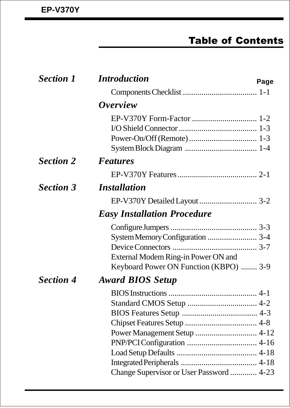### Table of Contents

| <b>Introduction</b>                 |                                                                                                                                |
|-------------------------------------|--------------------------------------------------------------------------------------------------------------------------------|
|                                     |                                                                                                                                |
| Overview                            |                                                                                                                                |
|                                     |                                                                                                                                |
| <b>Features</b>                     |                                                                                                                                |
|                                     |                                                                                                                                |
| <i><b>Installation</b></i>          |                                                                                                                                |
|                                     |                                                                                                                                |
| <b>Easy Installation Procedure</b>  |                                                                                                                                |
| External Modem Ring-in Power ON and |                                                                                                                                |
| <b>Award BIOS Setup</b>             |                                                                                                                                |
|                                     |                                                                                                                                |
|                                     | Page<br>System Memory Configuration  3-4<br>Keyboard Power ON Function (KBPO)  3-9<br>Change Supervisor or User Password  4-23 |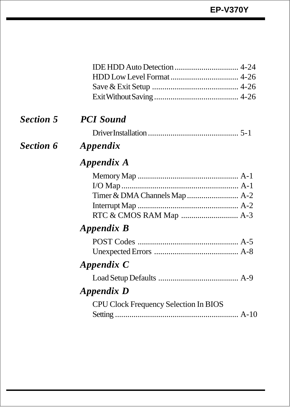| <b>Section 5</b> | <b>PCI</b> Sound                             |
|------------------|----------------------------------------------|
|                  |                                              |
| <b>Section 6</b> | Appendix                                     |
|                  | Appendix A                                   |
|                  |                                              |
|                  |                                              |
|                  |                                              |
|                  |                                              |
|                  |                                              |
|                  | Appendix B                                   |
|                  |                                              |
|                  |                                              |
|                  | Appendix C                                   |
|                  |                                              |
|                  | Appendix D                                   |
|                  | <b>CPU Clock Frequency Selection In BIOS</b> |
|                  |                                              |
|                  |                                              |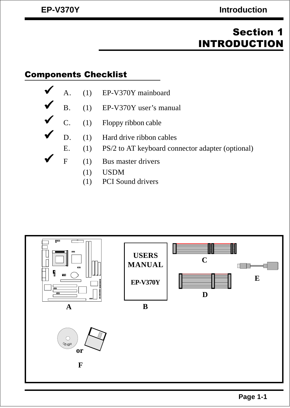### Section 1 INTRODUCTION

#### Components Checklist

- ü A. (1) EP-V370Y mainboard
- B. (1) EP-V370Y user's manual
- C. (1) Floppy ribbon cable
- D. (1) Hard drive ribbon cables
	- E. (1) PS/2 to AT keyboard connector adapter (optional)
		- $F \t(1)$  Bus master drivers
			- (1) USDM
			- (1) PCI Sound drivers

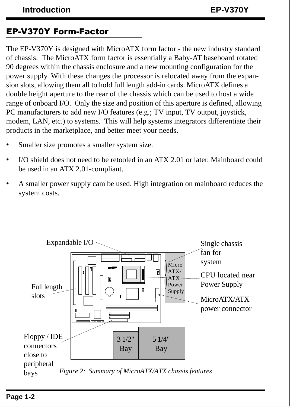#### EP-V370Y Form-Factor

The EP-V370Y is designed with MicroATX form factor - the new industry standard of chassis. The MicroATX form factor is essentially a Baby-AT baseboard rotated 90 degrees within the chassis enclosure and a new mounting configuration for the power supply. With these changes the processor is relocated away from the expansion slots, allowing them all to hold full length add-in cards. MicroATX defines a double height aperture to the rear of the chassis which can be used to host a wide range of onboard I/O. Only the size and position of this aperture is defined, allowing PC manufacturers to add new I/O features (e.g.; TV input, TV output, joystick, modem, LAN, etc.) to systems. This will help systems integrators differentiate their products in the marketplace, and better meet your needs.

- Smaller size promotes a smaller system size.
- I/O shield does not need to be retooled in an ATX 2.01 or later. Mainboard could be used in an ATX 2.01-compliant.
- A smaller power supply cam be used. High integration on mainboard reduces the system costs.

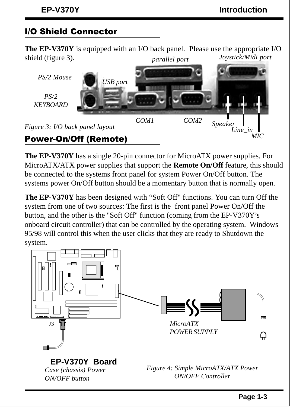#### I/O Shield Connector

**The EP-V370Y** is equipped with an I/O back panel. Please use the appropriate I/O shield (figure 3). *parallel port Joystick/Midi port*



**The EP-V370Y** has a single 20-pin connector for MicroATX power supplies. For MicroATX/ATX power supplies that support the **Remote On/Off** feature, this should be connected to the systems front panel for system Power On/Off button. The systems power On/Off button should be a momentary button that is normally open.

**The EP-V370Y** has been designed with "Soft Off" functions. You can turn Off the system from one of two sources: The first is the front panel Power On/Off the button, and the other is the "Soft Off" function (coming from the EP-V370Y's onboard circuit controller) that can be controlled by the operating system. Windows 95/98 will control this when the user clicks that they are ready to Shutdown the system.

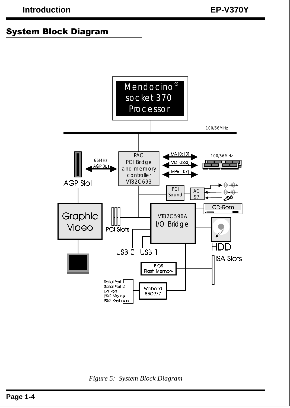#### System Block Diagram



*Figure 5: System Block Diagram*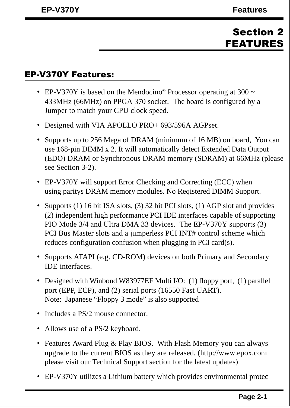### Section 2 FEATURES

#### EP-V370Y Features:

- EP-V370Y is based on the Mendocino<sup>®</sup> Processor operating at 300  $\sim$ 433MHz (66MHz) on PPGA 370 socket. The board is configured by a Jumper to match your CPU clock speed.
- Designed with VIA APOLLO PRO+ 693/596A AGPset.
- Supports up to 256 Mega of DRAM (minimum of 16 MB) on board, You can use 168-pin DIMM x 2. It will automatically detect Extended Data Output (EDO) DRAM or Synchronous DRAM memory (SDRAM) at 66MHz (please see Section 3-2).
- EP-V370Y will support Error Checking and Correcting (ECC) when using paritys DRAM memory modules. No Reqistered DIMM Support.
- Supports (1) 16 bit ISA slots, (3) 32 bit PCI slots, (1) AGP slot and provides (2) independent high performance PCI IDE interfaces capable of supporting PIO Mode 3/4 and Ultra DMA 33 devices. The EP-V370Y supports (3) PCI Bus Master slots and a jumperless PCI INT# control scheme which reduces configuration confusion when plugging in PCI card(s).
- Supports ATAPI (e.g. CD-ROM) devices on both Primary and Secondary IDE interfaces.
- Designed with Winbond W83977EF Multi I/O: (1) floppy port, (1) parallel port (EPP, ECP), and (2) serial ports (16550 Fast UART). Note: Japanese "Floppy 3 mode" is also supported
- Includes a PS/2 mouse connector.
- Allows use of a PS/2 keyboard.
- Features Award Plug & Play BIOS. With Flash Memory you can always upgrade to the current BIOS as they are released. (http://www.epox.com please visit our Technical Support section for the latest updates)
- EP-V370Y utilizes a Lithium battery which provides environmental protec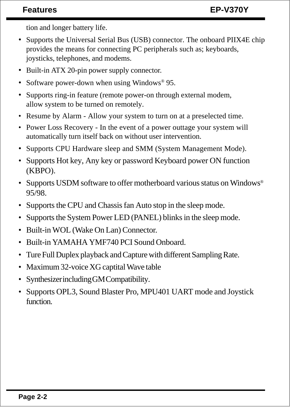tion and longer battery life.

- Supports the Universal Serial Bus (USB) connector. The onboard PIIX4E chip provides the means for connecting PC peripherals such as; keyboards, joysticks, telephones, and modems.
- Built-in ATX 20-pin power supply connector.
- Software power-down when using Windows<sup>®</sup> 95.
- Supports ring-in feature (remote power-on through external modem, allow system to be turned on remotely.
- Resume by Alarm Allow your system to turn on at a preselected time.
- Power Loss Recovery In the event of a power outtage your system will automatically turn itself back on without user intervention.
- Supports CPU Hardware sleep and SMM (System Management Mode).
- Supports Hot key, Any key or password Keyboard power ON function (KBPO).
- Supports USDM software to offer motherboard various status on Windows® 95/98.
- Supports the CPU and Chassis fan Auto stop in the sleep mode.
- Supports the System Power LED (PANEL) blinks in the sleep mode.
- Built-in WOL (Wake On Lan) Connector.
- Built-in YAMAHA YMF740 PCI Sound Onboard.
- Ture Full Duplex playback and Capture with different Sampling Rate.
- Maximum 32-voice XG captital Wave table
- Synthesizer including GM Compatibility.
- Supports OPL3, Sound Blaster Pro, MPU401 UART mode and Joystick function.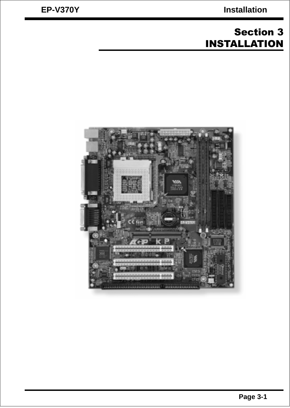### Section 3 INSTALLATION

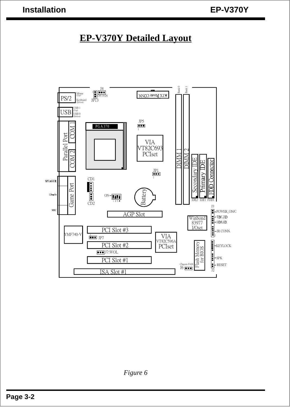### **EP-V370Y Detailed Layout**



*Figure 6*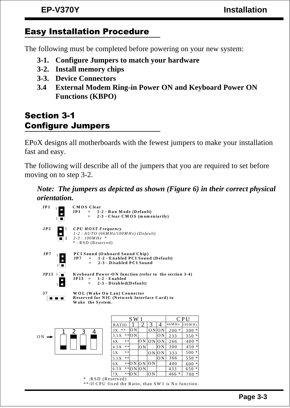#### Easy Installation Procedure

The following must be completed before powering on your new system:

- **3-1. Configure Jumpers to match your hardware**
- **3-2. Install memory chips**
- **3-3. Device Connectors**
- **3.4 External Modem Ring-in Power ON and Keyboard Power ON Functions (KBPO)**

#### Section 3-1 Configure Jumpers

EPoX designs all motherboards with the fewest jumpers to make your installation fast and easy.

The following will describe all of the jumpers that you are required to set before moving on to step 3-2.

#### *Note: The jumpers as depicted as shown (Figure 6) in their correct physical orientation.*

O N

O N O N O N

\*\*: If CPU fixed the Ratio, than SW 1 is No function.

 $*$  $\overline{O}$  N  $\overline{O}$  N

 $\overline{\circ}$ 

366 400 550 600

433 650 \*  $466 * 700 *$ 

 $7X$  \*\* ON

 $5.5X$  \*\*

6X 6.5X

\* :RSD (Reserved)

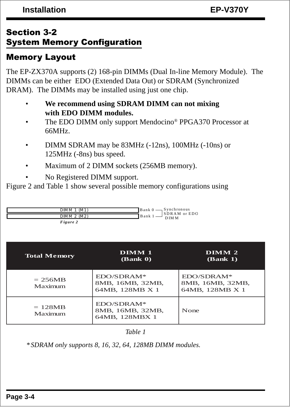#### Section 3-2 System Memory Configuration

#### Memory Layout

The EP-ZX370A supports (2) 168-pin DIMMs (Dual In-line Memory Module). The DIMMs can be either EDO (Extended Data Out) or SDRAM (Synchronized DRAM). The DIMMs may be installed using just one chip.

- **We recommend using SDRAM DIMM can not mixing with EDO DIMM modules.**
- The EDO DIMM only support Mendocino<sup>®</sup> PPGA370 Processor at 66MHz.
- DIMM SDRAM may be 83MHz (-12ns), 100MHz (-10ns) or 125MHz (-8ns) bus speed.
- Maximum of 2 DIMM sockets (256MB memory).
- No Registered DIMM support.

Figure 2 and Table 1 show several possible memory configurations using

| (M 1<br>DIM M | Synchronous<br>Bank 0         |
|---------------|-------------------------------|
| (M2<br>DIM M  | SDRAM or EDO<br>Bank<br>DIM M |
| Figure 2      |                               |

| <b>Total Memory</b>  | DIMM <sub>1</sub><br>(Bank 0)                     | DIMM <sub>2</sub><br>(Bank 1)                     |
|----------------------|---------------------------------------------------|---------------------------------------------------|
| $= 256MB$<br>Maximum | EDO/SDRAM*<br>8MB, 16MB, 32MB,<br>64MB, 128MB X 1 | EDO/SDRAM*<br>8MB, 16MB, 32MB,<br>64MB, 128MB X 1 |
| $= 128MB$<br>Maximum | EDO/SDRAM*<br>8MB, 16MB, 32MB,<br>64MB, 128MBX 1  | None                                              |

*Table 1*

 *\* SDRAM only supports 8, 16, 32, 64, 128MB DIMM modules.*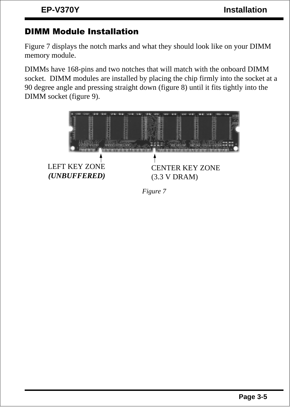#### DIMM Module Installation

Figure 7 displays the notch marks and what they should look like on your DIMM memory module.

DIMMs have 168-pins and two notches that will match with the onboard DIMM socket. DIMM modules are installed by placing the chip firmly into the socket at a 90 degree angle and pressing straight down (figure 8) until it fits tightly into the DIMM socket (figure 9).



*Figure 7*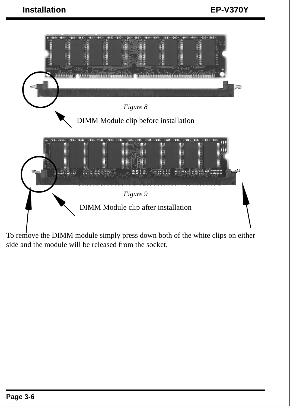



To remove the DIMM module simply press down both of the white clips on either side and the module will be released from the socket.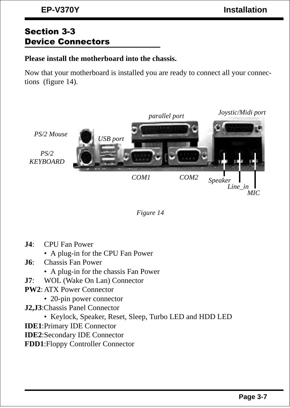#### Section 3-3 Device Connectors

#### **Please install the motherboard into the chassis.**

Now that your motherboard is installed you are ready to connect all your connections (figure 14).



*Figure 14*

- **J4**: CPU Fan Power
	- A plug-in for the CPU Fan Power
- **J6**: Chassis Fan Power
	- A plug-in for the chassis Fan Power
- **J7**: WOL (Wake On Lan) Connector
- **PW2**: ATX Power Connector
	- 20-pin power connector
- **J2,J3**:Chassis Panel Connector
	- Keylock, Speaker, Reset, Sleep, Turbo LED and HDD LED
- **IDE1**:Primary IDE Connector
- **IDE2**:Secondary IDE Connector
- **FDD1**:Floppy Controller Connector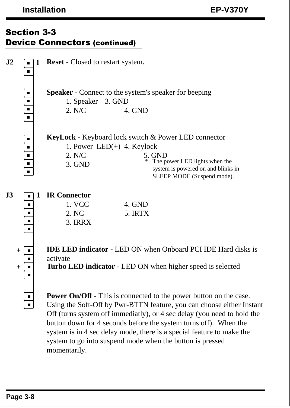#### Section 3-3 Device Connectors (continued)

| J2               | $\mathbf{1}$<br>п                          | <b>Reset</b> - Closed to restart system.                                                                                                                                                                                        |  |
|------------------|--------------------------------------------|---------------------------------------------------------------------------------------------------------------------------------------------------------------------------------------------------------------------------------|--|
|                  | п<br>п<br>п<br>$\blacksquare$              | <b>Speaker</b> - Connect to the system's speaker for beeping<br>1. Speaker 3. GND<br>2. N/C<br>4. GND                                                                                                                           |  |
|                  | п<br>$\blacksquare$<br>п<br>$\blacksquare$ | <b>KeyLock</b> - Keyboard lock switch & Power LED connector<br>1. Power LED $(+)$ 4. Keylock<br>2. N/C<br>5. GND<br>The power LED lights when the<br>3. GND<br>system is powered on and blinks in<br>SLEEP MODE (Suspend mode). |  |
| J3               | 1<br>п<br>■<br>■<br>$\blacksquare$         | <b>IR Connector</b><br>1. VCC<br>4. GND<br>2. NC<br>5. IRTX<br>3. IRRX                                                                                                                                                          |  |
| $^{+}$<br>$^{+}$ |                                            | <b>IDE LED indicator</b> - LED ON when Onboard PCI IDE Hard disks is<br>activate<br>Turbo LED indicator - LED ON when higher speed is selected                                                                                  |  |
|                  |                                            | $\sim$ 10.00 m $\cdot$ $\cdot$                                                                                                                                                                                                  |  |

**Power On/Off - This is connected to the power button on the case.** Using the Soft-Off by Pwr-BTTN feature, you can choose either Instant Off (turns system off immediatly), or 4 sec delay (you need to hold the button down for 4 seconds before the system turns off). When the system is in 4 sec delay mode, there is a special feature to make the system to go into suspend mode when the button is pressed momentarily.

 $\boxplus$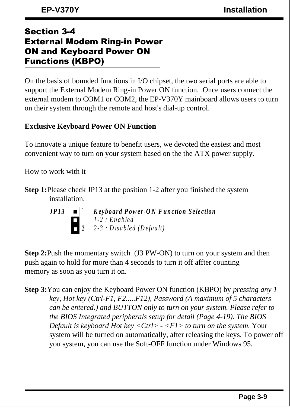#### Section 3-4 External Modem Ring-in Power ON and Keyboard Power ON Functions (KBPO)

On the basis of bounded functions in I/O chipset, the two serial ports are able to support the External Modem Ring-in Power ON function. Once users connect the external modem to COM1 or COM2, the EP-V370Y mainboard allows users to turn on their system through the remote and host's dial-up control.

#### **Exclusive Keyboard Power ON Function**

To innovate a unique feature to benefit users, we devoted the easiest and most convenient way to turn on your system based on the the ATX power supply.

How to work with it

**Step 1:**Please check JP13 at the position 1-2 after you finished the system installation.



*JP13*  $\boxed{\blacksquare}$  *Keyboard Power-ON Function Selection 1-2 : Enabled 2-3 : D isabled (D efault)*

**Step 2:**Push the momentary switch (J3 PW-ON) to turn on your system and then push again to hold for more than 4 seconds to turn it off affter counting memory as soon as you turn it on.

**Step 3:**You can enjoy the Keyboard Power ON function (KBPO) by *pressing any 1 key, Hot key (Ctrl-F1, F2.....F12), Password (A maximum of 5 characters can be entered.) and BUTTON only to turn on your system. Please refer to the BIOS Integrated peripherals setup for detail (Page 4-19). The BIOS Default is keyboard Hot key <Ctrl> - <F1> to turn on the system*. Your system will be turned on automatically, after releasing the keys. To power off you system, you can use the Soft-OFF function under Windows 95.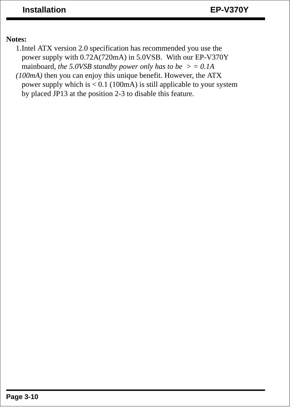#### **Notes:**

- 1.Intel ATX version 2.0 specification has recommended you use the power supply with 0.72A(720mA) in 5.0VSB. With our EP-V370Y mainboard, the 5.0VSB standby power only has to be  $> = 0.1A$
- *(100mA)* then you can enjoy this unique benefit. However, the ATX power supply which is  $< 0.1$  (100mA) is still applicable to your system by placed JP13 at the position 2-3 to disable this feature.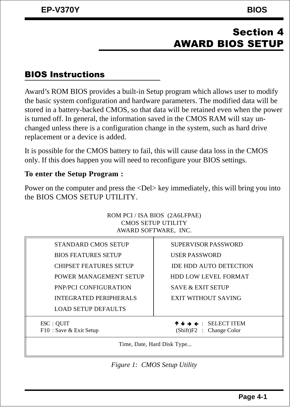### Section 4 AWARD BIOS SETUP

### BIOS Instructions

Award's ROM BIOS provides a built-in Setup program which allows user to modify the basic system configuration and hardware parameters. The modified data will be stored in a battery-backed CMOS, so that data will be retained even when the power is turned off. In general, the information saved in the CMOS RAM will stay unchanged unless there is a configuration change in the system, such as hard drive replacement or a device is added.

It is possible for the CMOS battery to fail, this will cause data loss in the CMOS only. If this does happen you will need to reconfigure your BIOS settings.

#### **To enter the Setup Program :**

Power on the computer and press the <Del> key immediately, this will bring you into the BIOS CMOS SETUP UTILITY.

ROM PCI / ISA BIOS (2A6LFPAE)

| RUM PUL/ISA BIUS (ZAOLFPAE)<br><b>CMOS SETUP UTILITY</b><br>AWARD SOFTWARE, INC. |                               |  |  |  |  |
|----------------------------------------------------------------------------------|-------------------------------|--|--|--|--|
| STANDARD CMOS SETUP                                                              | <b>SUPERVISOR PASSWORD</b>    |  |  |  |  |
| <b>BIOS FEATURES SETUP</b>                                                       | USER PASSWORD                 |  |  |  |  |
| <b>CHIPSET FEATURES SETUP</b>                                                    | <b>IDE HDD AUTO DETECTION</b> |  |  |  |  |
| POWER MANAGEMENT SETUP                                                           | <b>HDD LOW LEVEL FORMAT</b>   |  |  |  |  |
| PNP/PCI CONFIGURATION                                                            | <b>SAVE &amp; EXIT SETUP</b>  |  |  |  |  |
| INTEGRATED PERIPHERALS                                                           | EXIT WITHOUT SAVING           |  |  |  |  |
| <b>LOAD SETUP DEFAULTS</b>                                                       |                               |  |  |  |  |
| $\uparrow \uparrow \rightarrow \leftarrow$ : SELECT ITEM<br>ESC : QUIT           |                               |  |  |  |  |
| F10 : Save & Exit Setup                                                          | $(Shift)F2$ : Change Color    |  |  |  |  |
| Time, Date, Hard Disk Type                                                       |                               |  |  |  |  |

*Figure 1: CMOS Setup Utility*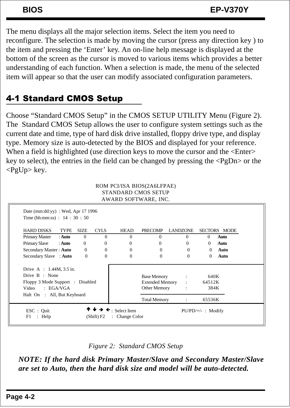The menu displays all the major selection items. Select the item you need to reconfigure. The selection is made by moving the cursor (press any direction key ) to the item and pressing the 'Enter' key. An on-line help message is displayed at the bottom of the screen as the cursor is moved to various items which provides a better understanding of each function. When a selection is made, the menu of the selected item will appear so that the user can modify associated configuration parameters.

### 4-1 Standard CMOS Setup

Choose "Standard CMOS Setup" in the CMOS SETUP UTILITY Menu (Figure 2). The Standard CMOS Setup allows the user to configure system settings such as the current date and time, type of hard disk drive installed, floppy drive type, and display type. Memory size is auto-detected by the BIOS and displayed for your reference. When a field is highlighted (use direction keys to move the cursor and the  $\leq$ Enter $>$ key to select), the entries in the field can be changed by pressing the <PgDn> or the  $<$ PgUp $>$  key.

> ROM PCI/ISA BIOS(2A6LFPAE) STANDARD CMOS SETUP AWARD SOFTWARE, INC.

| HARD DISKS                                                                                                              | <b>TYPE</b> | <b>SIZE</b> | <b>CYLS</b> | <b>HEAD</b> | <b>PRECOMP</b>                                               | LANDZONE                               |                        | SECTORS MODE |
|-------------------------------------------------------------------------------------------------------------------------|-------------|-------------|-------------|-------------|--------------------------------------------------------------|----------------------------------------|------------------------|--------------|
| Primary Master                                                                                                          | : Auto      | $\Omega$    | $\Omega$    | $\Omega$    | $\Omega$                                                     | 0                                      | $\Omega$               | Auto         |
| Primary Slave                                                                                                           | : Auto      | $\Omega$    | $\Omega$    | $\Omega$    | $\Omega$                                                     | $\Omega$                               | $\Omega$               | Auto         |
| Secondary Master: Auto                                                                                                  |             | $\Omega$    | $\Omega$    | $\Omega$    | $\Omega$                                                     | $\Omega$                               | $\Omega$               | Auto         |
| Secondary Slave : Auto                                                                                                  |             | $\Omega$    | $\Omega$    | $\theta$    | $\Omega$                                                     | $\Omega$                               | $\Omega$               | Auto         |
| Drive $A : 1.44M, 3.5$ in.<br>Drive B: None<br>Floppy 3 Mode Support : Disabled<br>Video<br>Halt On : All, But Keyboard | EGA/VGA     |             |             |             | <b>Base Memory</b><br><b>Extended Memory</b><br>Other Memory | $\ddot{\phantom{a}}$<br>$\ddot{\cdot}$ | 640K<br>64512K<br>384K |              |

*Figure 2: Standard CMOS Setup*

*NOTE: If the hard disk Primary Master/Slave and Secondary Master/Slave are set to Auto, then the hard disk size and model will be auto-detected.*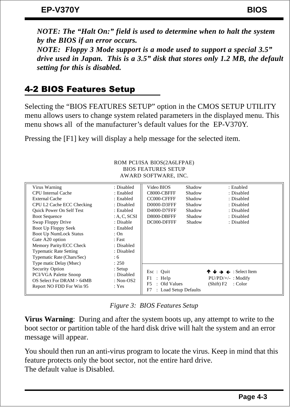*NOTE: The "Halt On:" field is used to determine when to halt the system by the BIOS if an error occurs.*

*NOTE: Floppy 3 Mode support is a mode used to support a special 3.5" drive used in Japan. This is a 3.5" disk that stores only 1.2 MB, the default setting for this is disabled.*

#### 4-2 BIOS Features Setup

Selecting the "BIOS FEATURES SETUP" option in the CMOS SETUP UTILITY menu allows users to change system related parameters in the displayed menu. This menu shows all of the manufacturer's default values for the EP-V370Y.

Pressing the [F1] key will display a help message for the selected item.

| AWARD SOI I WARD, INC.                                                                                                                                                                                                                                                                                                                                             |                                                                                                                                                                        |                                                                                                       |                                                                    |                                                                                                           |  |
|--------------------------------------------------------------------------------------------------------------------------------------------------------------------------------------------------------------------------------------------------------------------------------------------------------------------------------------------------------------------|------------------------------------------------------------------------------------------------------------------------------------------------------------------------|-------------------------------------------------------------------------------------------------------|--------------------------------------------------------------------|-----------------------------------------------------------------------------------------------------------|--|
| Virus Warning<br>CPU Internal Cache<br>External Cache<br>CPU L2 Cache ECC Checking<br><b>Ouick Power On Self Test</b><br><b>Boot Sequence</b><br>Swap Floppy Drive<br>Boot Up Floppy Seek<br><b>Boot Up NumLock Status</b><br>Gate A20 option<br>Memory Parity/ECC Check<br><b>Typematic Rate Setting</b><br>Typematic Rate (Chars/Sec)<br>Type matic Delay (Msec) | : Disabled<br>: Enabled<br>: Enabled<br>: Disabled<br>: Enabled<br>: A, C, SCSI<br>: Disable<br>: Enabled<br>: On<br>: Fast<br>: Disabled<br>: Disabled<br>:6<br>: 250 | Video BIOS<br>C8000-CBFFF<br>CC000-CFFFF<br>D0000-D3FFF<br>D4000-D7FFF<br>D8000-DBFFF<br>DC000-DFFFF  | Shadow<br>Shadow<br>Shadow<br>Shadow<br>Shadow<br>Shadow<br>Shadow | : Enabled<br>: Disabled<br>: Disabled<br>: Disabled<br>: Disabled<br>: Disabled<br>: Disabled             |  |
| Security Option<br>PCI/VGA Palette Snoop<br>OS Select For $DRAM > 64MB$<br>Report NO FDD For Win 95                                                                                                                                                                                                                                                                | $:$ Setup<br>: Disabled<br>: Non-OS2<br>: Yes                                                                                                                          | Esc: Ouit<br>F1<br>$\therefore$ Help<br>: Old Values<br>F <sub>5</sub><br>F7<br>: Load Setup Defaults |                                                                    | $\uparrow \uparrow \rightarrow \leftarrow$ : Select Item<br>$PU/PD/+/-$ : Modify<br>(Shift) F2<br>: Color |  |

#### ROM PCI/ISA BIOS(2A6LFPAE) BIOS FEATURES SETUP AWARD SOFTWARE, INC.

*Figure 3: BIOS Features Setup*

**Virus Warning**:During and after the system boots up, any attempt to write to the boot sector or partition table of the hard disk drive will halt the system and an error message will appear.

You should then run an anti-virus program to locate the virus. Keep in mind that this feature protects only the boot sector, not the entire hard drive. The default value is Disabled.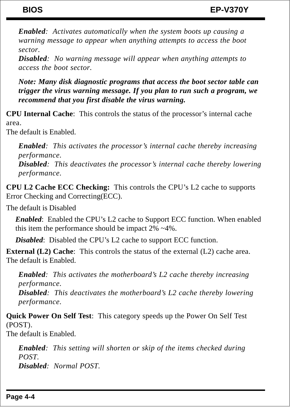*Enabled: Activates automatically when the system boots up causing a warning message to appear when anything attempts to access the boot sector.*

*Disabled: No warning message will appear when anything attempts to access the boot sector.*

*Note: Many disk diagnostic programs that access the boot sector table can trigger the virus warning message. If you plan to run such a program, we recommend that you first disable the virus warning.*

**CPU Internal Cache**: This controls the status of the processor's internal cache area.

The default is Enabled.

*Enabled: This activates the processor's internal cache thereby increasing performance. Disabled: This deactivates the processor's internal cache thereby lowering performance.*

**CPU L2 Cache ECC Checking:** This controls the CPU's L2 cache to supports Error Checking and Correcting(ECC).

The default is Disabled

*Enabled*: Enabled the CPU's L2 cache to Support ECC function. When enabled this item the performance should be impact 2% ~4%.

*Disabled*: Disabled the CPU's L2 cache to support ECC function.

**External (L2) Cache:** This controls the status of the external (L2) cache area. The default is Enabled.

*Enabled: This activates the motherboard's L2 cache thereby increasing performance.*

*Disabled: This deactivates the motherboard's L2 cache thereby lowering performance.*

**Quick Power On Self Test**: This category speeds up the Power On Self Test (POST).

The default is Enabled.

*Enabled: This setting will shorten or skip of the items checked during POST. Disabled: Normal POST.*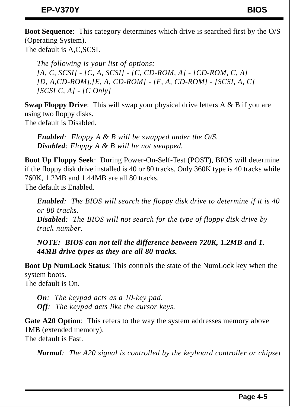**Boot Sequence**: This category determines which drive is searched first by the O/S (Operating System).

The default is A,C,SCSI.

*The following is your list of options: [A, C, SCSI] - [C, A, SCSI] - [C, CD-ROM, A] - [CD-ROM, C, A] [D, A,CD-ROM],[E, A, CD-ROM] - [F, A, CD-ROM] - [SCSI, A, C] [SCSI C, A] - [C Only]*

**Swap Floppy Drive:** This will swap your physical drive letters A & B if you are using two floppy disks. The default is Disabled.

*Enabled: Floppy A & B will be swapped under the O/S. Disabled: Floppy A & B will be not swapped.*

**Boot Up Floppy Seek**: During Power-On-Self-Test (POST), BIOS will determine if the floppy disk drive installed is 40 or 80 tracks. Only 360K type is 40 tracks while 760K, 1.2MB and 1.44MB are all 80 tracks. The default is Enabled.

*Enabled: The BIOS will search the floppy disk drive to determine if it is 40 or 80 tracks. Disabled: The BIOS will not search for the type of floppy disk drive by track number.*

*NOTE: BIOS can not tell the difference between 720K, 1.2MB and 1. 44MB drive types as they are all 80 tracks.*

**Boot Up NumLock Status**: This controls the state of the NumLock key when the system boots. The default is On.

*On: The keypad acts as a 10-key pad. Off: The keypad acts like the cursor keys.*

**Gate A20 Option**: This refers to the way the system addresses memory above 1MB (extended memory).

The default is Fast.

*Normal: The A20 signal is controlled by the keyboard controller or chipset*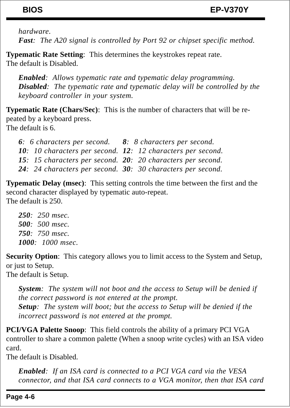*hardware.*

*Fast: The A20 signal is controlled by Port 92 or chipset specific method.*

**Typematic Rate Setting**: This determines the keystrokes repeat rate. The default is Disabled.

*Enabled: Allows typematic rate and typematic delay programming. Disabled: The typematic rate and typematic delay will be controlled by the keyboard controller in your system.*

**Typematic Rate (Chars/Sec)**: This is the number of characters that will be repeated by a keyboard press. The default is 6.

*: 6 characters per second. 8: 8 characters per second. : 10 characters per second. 12: 12 characters per second. : 15 characters per second. 20: 20 characters per second. : 24 characters per second. 30: 30 characters per second.*

**Typematic Delay (msec)**: This setting controls the time between the first and the second character displayed by typematic auto-repeat. The default is 250.

*: 250 msec. : 500 msec. : 750 msec. : 1000 msec.*

**Security Option**: This category allows you to limit access to the System and Setup, or just to Setup.

The default is Setup.

*System: The system will not boot and the access to Setup will be denied if the correct password is not entered at the prompt. Setup: The system will boot; but the access to Setup will be denied if the incorrect password is not entered at the prompt.*

**PCI/VGA Palette Snoop**: This field controls the ability of a primary PCI VGA controller to share a common palette (When a snoop write cycles) with an ISA video card.

The default is Disabled.

*Enabled: If an ISA card is connected to a PCI VGA card via the VESA connector, and that ISA card connects to a VGA monitor, then that ISA card*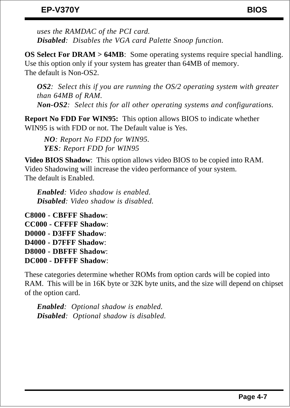**OS Select For DRAM > 64MB**: Some operating systems require special handling. Use this option only if your system has greater than 64MB of memory. The default is Non-OS2.

*OS2: Select this if you are running the OS/2 operating system with greater than 64MB of RAM. Non-OS2: Select this for all other operating systems and configurations.*

**Report No FDD For WIN95:** This option allows BIOS to indicate whether WIN95 is with FDD or not. The Default value is Yes.

*NO: Report No FDD for WIN95. YES: Report FDD for WIN95*

**Video BIOS Shadow**: This option allows video BIOS to be copied into RAM. Video Shadowing will increase the video performance of your system. The default is Enabled.

*Enabled: Video shadow is enabled. Disabled: Video shadow is disabled.*

**C8000 - CBFFF Shadow**: **CC000 - CFFFF Shadow**: **D0000 - D3FFF Shadow**: **D4000 - D7FFF Shadow**: **D8000 - DBFFF Shadow**: **DC000 - DFFFF Shadow**:

These categories determine whether ROMs from option cards will be copied into RAM. This will be in 16K byte or 32K byte units, and the size will depend on chipset of the option card.

*Enabled: Optional shadow is enabled. Disabled: Optional shadow is disabled.*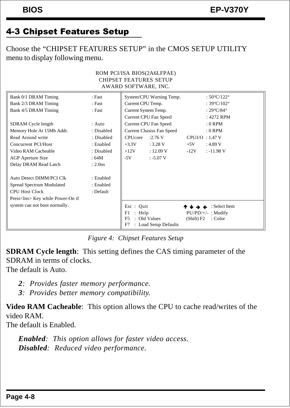#### 4-3 Chipset Features Setup

Choose the "CHIPSET FEATURES SETUP" in the CMOS SETUP UTILITY menu to display following menu.

#### ROM PCI/ISA BIOS(2A6LFPAE) CHIPSET FEATURES SETUP AWARD SOFTWARE, INC.

| Bank 0/1 DRAM Timing                    | : Fast     |                       | System/CPU Warning Temp.         |                                | : $50^{\circ}$ C/122°                                    |
|-----------------------------------------|------------|-----------------------|----------------------------------|--------------------------------|----------------------------------------------------------|
| Bank 2/3 DRAM Timing                    | : Fast     | Current CPU Temp.     |                                  |                                | : $39^{\circ}C/102^{\circ}$                              |
| Bank 4/5 DRAM Timing                    | : Fast     | Current System Temp.  |                                  | : $29^{\circ}$ C/84 $^{\circ}$ |                                                          |
|                                         |            | Current CPU Fan Speed |                                  |                                | : 4272 RPM                                               |
| SDRAM Cycle length                      | $:$ Auto   | Current CPU Fan Speed |                                  | $:0$ RPM                       |                                                          |
| Memory Hole At 15Mb Addr.               | : Disabled |                       | <b>Current Chasiss Fan Speed</b> |                                | $: 0$ RPM                                                |
| Read Around write                       | : Disabled | <b>CPU</b> core       | $:2.76$ V                        |                                | $CPUI/O$ : 1.47 V                                        |
| Concurrent PCI/Host                     | : Enabled  | $+3.3V$               | : 3.28 V                         | $+5V$                          | : 4.89 V                                                 |
| Video RAM Cacheable                     | : Disabled | $+12V$                | : 12.09 V                        | $-12V$                         | $: -11.98$ V                                             |
| <b>AGP</b> Aperture Size                | :64M       | $-5V$                 | $: -5.07$ V                      |                                |                                                          |
| Delay DRAM Read Latch                   | $: 2.0$ ns |                       |                                  |                                |                                                          |
|                                         |            |                       |                                  |                                |                                                          |
| Auto Detect DIMM/PCI Clk                | : Enabled  |                       |                                  |                                |                                                          |
| Spread Spectrum Modulated               | : Enabled  |                       |                                  |                                |                                                          |
| <b>CPU Host Clock</b>                   | : Default  |                       |                                  |                                |                                                          |
| Press <ins> Key while Power-On if</ins> |            |                       |                                  |                                |                                                          |
| system can not boot normally.           |            | Esc: Ouit             |                                  |                                | $\uparrow \downarrow \rightarrow \uparrow$ : Select Item |
|                                         |            | : Help<br>F1          |                                  |                                | $PU/PD/+/ -$ : Modify                                    |
|                                         |            | : Old Values<br>F5    |                                  | (Shift) F2                     | : Color                                                  |
|                                         |            | F7                    | : Load Setup Defaults            |                                |                                                          |

*Figure 4: Chipset Features Setup*

**SDRAM Cycle length**: This setting defines the CAS timing parameter of the SDRAM in terms of clocks.

The default is Auto.

- *2: Provides faster memory performance.*
- *3: Provides better memory compatibility.*

**Video RAM Cacheable**: This option allows the CPU to cache read/writes of the video RAM.

The default is Enabled.

*Enabled: This option allows for faster video access. Disabled: Reduced video performance.*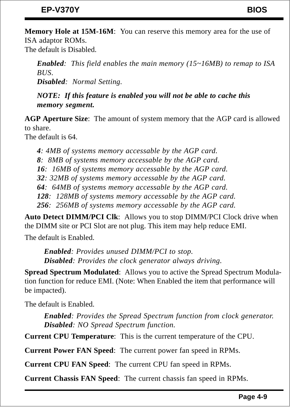**Memory Hole at 15M-16M**: You can reserve this memory area for the use of ISA adaptor ROMs.

The default is Disabled.

*Enabled: This field enables the main memory (15~16MB) to remap to ISA BUS. Disabled: Normal Setting.*

*NOTE: If this feature is enabled you will not be able to cache this memory segment.*

**AGP Aperture Size**: The amount of system memory that the AGP card is allowed to share.

The default is 64.

*: 4MB of systems memory accessable by the AGP card. : 8MB of systems memory accessable by the AGP card. : 16MB of systems memory accessable by the AGP card. : 32MB of systems memory accessable by the AGP card. : 64MB of systems memory accessable by the AGP card. : 128MB of systems memory accessable by the AGP card. : 256MB of systems memory accessable by the AGP card.*

**Auto Detect DIMM/PCI Clk**: Allows you to stop DIMM/PCI Clock drive when the DIMM site or PCI Slot are not plug. This item may help reduce EMI.

The default is Enabled.

*Enabled: Provides unused DIMM/PCI to stop. Disabled: Provides the clock generator always driving.*

**Spread Spectrum Modulated**: Allows you to active the Spread Spectrum Modulation function for reduce EMI. (Note: When Enabled the item that performance will be impacted).

The default is Enabled.

*Enabled: Provides the Spread Spectrum function from clock generator. Disabled: NO Spread Spectrum function.*

**Current CPU Temperature**: This is the current temperature of the CPU.

**Current Power FAN Speed**: The current power fan speed in RPMs.

**Current CPU FAN Speed**: The current CPU fan speed in RPMs.

**Current Chassis FAN Speed**: The current chassis fan speed in RPMs.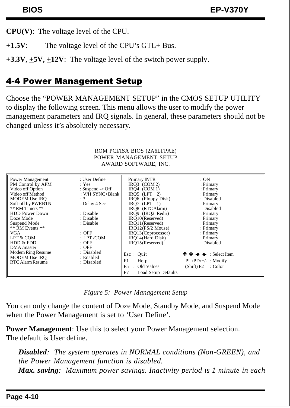**CPU(V)**: The voltage level of the CPU.

**+1.5V**: The voltage level of the CPU's GTL+ Bus.

**+3.3V**, **+5V, +12V**: The voltage level of the switch power supply.

#### 4-4 Power Management Setup

Choose the "POWER MANAGEMENT SETUP" in the CMOS SETUP UTILITY to display the following screen. This menu allows the user to modify the power management parameters and IRQ signals. In general, these parameters should not be changed unless it's absolutely necessary.

| <b>Power Management</b><br>PM Control by APM<br>Video off Option<br>Video off Method<br><b>MODEM Use IRO</b><br>Soft-off by PWRBTN<br>** RM Timers **<br><b>HDD Power Down</b><br>Doze Mode<br>Suspend Mode<br>** RM Events **<br>VGA<br>LPT & COM<br>HDD $&$ FDD<br>DMA /master | : User Define<br>: Yes<br>: Suspend $\rightarrow$ Off<br>: V/H SYNC+Blank<br>:3<br>: Delay 4 Sec<br>: Disable<br>: Disable<br>: Disable<br>$:$ OFF<br>: $LPT/COM$<br>$:$ OFF<br>$\therefore$ OFF | Primary INTR<br>$IRO3$ (COM 2)<br>$IRO4$ (COM 1)<br>$IRO5$ (LPT 2)<br>IRQ6 (Floppy Disk)<br>$IRO7$ (LPT 1)<br>IRO8 (RTC Alarm)<br>IRO9 (IRO2 Redir)<br>IRO10(Reserved)<br>IRO11 (Reserved)<br>IRO12(PS/2 Mouse)<br>IRQ13(Coprocessor)<br>IRO14(Hard Disk)<br>IRO15(Reserved) | :ON<br>: Primary<br>: Primary<br>: Primary<br>: Disabled<br>: Primary<br>: Disabled<br>: Primary<br>: Primary<br>: Primary<br>: Primary<br>: Primary<br>: Primary<br>: Disabled |
|----------------------------------------------------------------------------------------------------------------------------------------------------------------------------------------------------------------------------------------------------------------------------------|--------------------------------------------------------------------------------------------------------------------------------------------------------------------------------------------------|------------------------------------------------------------------------------------------------------------------------------------------------------------------------------------------------------------------------------------------------------------------------------|---------------------------------------------------------------------------------------------------------------------------------------------------------------------------------|
| Modem Ring Resume<br><b>MODEM Use IRO</b><br>RTC Alarm Resume                                                                                                                                                                                                                    | : Disabled<br>: Enabled<br>: Disabled                                                                                                                                                            | Esc: Ouit<br>$ F1 \rangle$ : Help<br>F5<br>$\therefore$ Old Values<br>F7<br>: Load Setup Defaults                                                                                                                                                                            | $\uparrow \downarrow \rightarrow \leftarrow$ : Select Item<br>$PU/PD/+/-$ : Modify<br>(Shift) F2<br>: Color                                                                     |

#### ROM PCI/ISA BIOS (2A6LFPAE) POWER MANAGEMENT SETUP AWARD SOFTWARE, INC.

*Figure 5: Power Management Setup*

You can only change the content of Doze Mode, Standby Mode, and Suspend Mode when the Power Management is set to 'User Define'.

**Power Management**: Use this to select your Power Management selection. The default is User define.

*Disabled: The system operates in NORMAL conditions (Non-GREEN), and the Power Management function is disabled. Max. saving: Maximum power savings. Inactivity period is 1 minute in each*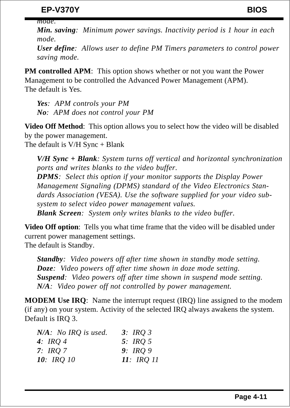*saving mode.*

*mode.*

*Min. saving: Minimum power savings. Inactivity period is 1 hour in each mode. User define: Allows user to define PM Timers parameters to control power*

**PM controlled APM**: This option shows whether or not you want the Power Management to be controlled the Advanced Power Management (APM). The default is Yes.

*Yes: APM controls your PM No: APM does not control your PM*

**Video Off Method**: This option allows you to select how the video will be disabled by the power management. The default is V/H Sync + Blank

*V/H Sync + Blank: System turns off vertical and horizontal synchronization ports and writes blanks to the video buffer. DPMS: Select this option if your monitor supports the Display Power Management Signaling (DPMS) standard of the Video Electronics Standards Association (VESA). Use the software supplied for your video subsystem to select video power management values. Blank Screen: System only writes blanks to the video buffer.*

**Video Off option**: Tells you what time frame that the video will be disabled under current power management settings.

The default is Standby.

*Standby: Video powers off after time shown in standby mode setting. Doze: Video powers off after time shown in doze mode setting. Suspend: Video powers off after time shown in suspend mode setting. N/A: Video power off not controlled by power management.*

**MODEM Use IRQ**: Name the interrupt request (IRQ) line assigned to the modem (if any) on your system. Activity of the selected IRQ always awakens the system. Default is IRQ 3.

| N/A: No IRQ is used. | 3: IRO.3     |
|----------------------|--------------|
| 4: IRO 4             | 5: $IRO$ 5   |
| 7: IRQ 7             | 9: IRO.9     |
| 10: IRQ 10           | $11:$ IRQ 11 |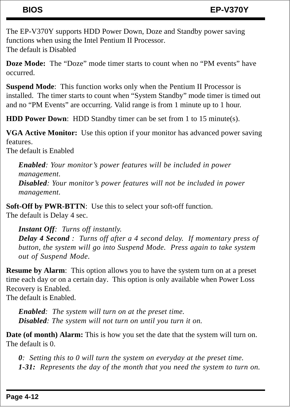The EP-V370Y supports HDD Power Down, Doze and Standby power saving functions when using the Intel Pentium II Processor. The default is Disabled

**Doze Mode:** The "Doze" mode timer starts to count when no "PM events" have occurred.

**Suspend Mode**: This function works only when the Pentium II Processor is installed. The timer starts to count when "System Standby" mode timer is timed out and no "PM Events" are occurring. Valid range is from 1 minute up to 1 hour.

**HDD Power Down**: HDD Standby timer can be set from 1 to 15 minute(s).

**VGA Active Monitor:** Use this option if your monitor has advanced power saving features.

The default is Enabled

*Enabled: Your monitor's power features will be included in power management. Disabled: Your monitor's power features will not be included in power management.*

**Soft-Off by PWR-BTTN**: Use this to select your soft-off function. The default is Delay 4 sec.

*Instant Off: Turns off instantly.*

*Delay 4 Second : Turns off after a 4 second delay. If momentary press of button, the system will go into Suspend Mode. Press again to take system out of Suspend Mode.*

**Resume by Alarm:** This option allows you to have the system turn on at a preset time each day or on a certain day. This option is only available when Power Loss Recovery is Enabled.

The default is Enabled.

*Enabled: The system will turn on at the preset time. Disabled: The system will not turn on until you turn it on.*

**Date (of month) Alarm:** This is how you set the date that the system will turn on. The default is 0.

*0: Setting this to 0 will turn the system on everyday at the preset time. 1-31: Represents the day of the month that you need the system to turn on.*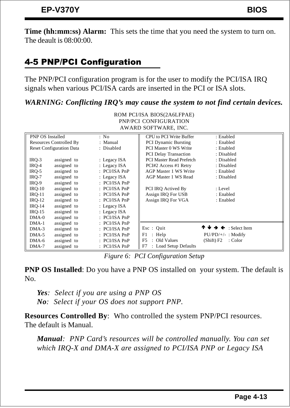**Time (hh:mm:ss) Alarm:** This sets the time that you need the system to turn on. The deault is  $08:00:00$ .

#### 4-5 PNP/PCI Configuration

The PNP/PCI configuration program is for the user to modify the PCI/ISA IRQ signals when various PCI/ISA cards are inserted in the PCI or ISA slots.

*WARNING: Conflicting IRQ's may cause the system to not find certain devices.*

|                                               | ROM PCI/ISA BIOS(2A6LFPAE) |                              |                                 |                                                          |  |  |  |
|-----------------------------------------------|----------------------------|------------------------------|---------------------------------|----------------------------------------------------------|--|--|--|
| PNP/PCI CONFIGURATION<br>AWARD SOFTWARE, INC. |                            |                              |                                 |                                                          |  |  |  |
|                                               |                            |                              |                                 |                                                          |  |  |  |
| <b>PNP OS Installed</b><br>: No               |                            |                              | CPU to PCI Write Buffer         | : Enabled                                                |  |  |  |
| Resources Controlled By<br>: Manual           |                            | <b>PCI Dynamic Bursting</b>  | : Enabled                       |                                                          |  |  |  |
| <b>Reset Configuration Data</b><br>: Disabled |                            |                              | PCI Master 0 WS Write           | : Enabled                                                |  |  |  |
|                                               |                            | <b>PCI Delay Transaction</b> | : Disabled                      |                                                          |  |  |  |
| $IRO-3$                                       | assigned to                | : Legacy ISA                 | <b>PCI Master Read Prefetch</b> | : Disabled                                               |  |  |  |
| $IRO-4$                                       | assigned to                | : Legacy ISA                 | PCI#2 Access #1 Retry           | : Disabled                                               |  |  |  |
| $IRQ-5$                                       | assigned to                | $: PCUISA$ PnP               | <b>AGP Master 1 WS Write</b>    | : Enabled                                                |  |  |  |
| $IRO-7$                                       | assigned to                | $\therefore$ Legacy ISA      | AGP Master 1 WS Read            | : Disabled                                               |  |  |  |
| $IRO-9$                                       | assigned to                | : PCI/ISA PnP                |                                 |                                                          |  |  |  |
| $IRO-10$                                      | assigned to                | : PCI/ISA PnP                | PCI IRO Actived By              | : Level                                                  |  |  |  |
| $IRO-11$                                      | assigned to                | $: PCI/ISA$ PnP              | Assign IRQ For USB              | : Enabled                                                |  |  |  |
| $IRO-12$                                      | assigned to                | : PCI/ISA PnP                | Assign IRO For VGA              | : Enabled                                                |  |  |  |
| $IRO-14$                                      | assigned to                | : Legacy ISA                 |                                 |                                                          |  |  |  |
| $IRQ-15$                                      | assigned to                | : Legacy ISA                 |                                 |                                                          |  |  |  |
| $DMA-0$                                       | assigned to                | : PCI/ISA PnP                |                                 |                                                          |  |  |  |
| $DMA-1$                                       | assigned to                | : PCI/ISA PnP                |                                 |                                                          |  |  |  |
| $DMA-3$                                       | assigned to                | : PCI/ISA PnP                | Esc : Quit                      | $\uparrow \uparrow \rightarrow \leftarrow$ : Select Item |  |  |  |
| $DMA-5$                                       | assigned to                | : PCI/ISA PnP                | : Help<br>F1                    | $PU/PD/+/-$ : Modify                                     |  |  |  |
| $DMA-6$                                       | assigned to                | : PCI/ISA PnP                | : Old Values<br>F5              | (Shift) F2<br>: Color                                    |  |  |  |
| $DMA-7$                                       | assigned to                | : PCI/ISA PnP                | F7<br>: Load Setup Defaults     |                                                          |  |  |  |

*Figure 6: PCI Configuration Setup*

**PNP OS Installed**: Do you have a PNP OS installed on your system. The default is No.

*Yes: Select if you are using a PNP OS No: Select if your OS does not support PNP.*

**Resources Controlled By**: Who controlled the system PNP/PCI resources. The default is Manual.

*Manual: PNP Card's resources will be controlled manually. You can set which IRQ-X and DMA-X are assigned to PCI/ISA PNP or Legacy ISA*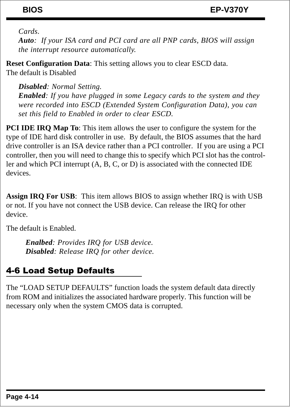*Cards.*

*Auto: If your ISA card and PCI card are all PNP cards, BIOS will assign the interrupt resource automatically.*

**Reset Configuration Data**: This setting allows you to clear ESCD data. The default is Disabled

*Disabled: Normal Setting. Enabled: If you have plugged in some Legacy cards to the system and they were recorded into ESCD (Extended System Configuration Data), you can set this field to Enabled in order to clear ESCD.*

**PCI IDE IRQ Map To:** This item allows the user to configure the system for the type of IDE hard disk controller in use. By default, the BIOS assumes that the hard drive controller is an ISA device rather than a PCI controller. If you are using a PCI controller, then you will need to change this to specify which PCI slot has the controller and which PCI interrupt (A, B, C, or D) is associated with the connected IDE devices.

**Assign IRQ For USB**: This item allows BIOS to assign whether IRQ is with USB or not. If you have not connect the USB device. Can release the IRQ for other device.

The default is Enabled.

*Enalbed: Provides IRQ for USB device. Disabled: Release IRQ for other device.*

### 4-6 Load Setup Defaults

The "LOAD SETUP DEFAULTS" function loads the system default data directly from ROM and initializes the associated hardware properly. This function will be necessary only when the system CMOS data is corrupted.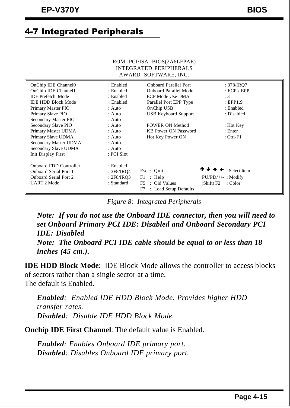#### 4-7 Integrated Peripherals

| ROM PCI/ISA BIOS(2A6LFPAE)   |              |                              |                          |  |
|------------------------------|--------------|------------------------------|--------------------------|--|
| INTEGRATED PERIPHERALS       |              |                              |                          |  |
| AWARD SOFTWARE, INC.         |              |                              |                          |  |
| OnChip IDE Channel0          | : Enabled    | <b>Onboard Parallel Port</b> | : 378/IRO7               |  |
| OnChip IDE Channel1          | : Enabled    | <b>Onboard Parallel Mode</b> | ECP / EPP                |  |
| <b>IDE Prefetch Mode</b>     | : Enabled    | <b>ECP Mode Use DMA</b>      | :3                       |  |
| <b>IDE HDD Block Mode</b>    | : Enabled    | Parallel Port EPP Type       | EPP1.9                   |  |
| Primary Master PIO           | $:$ Auto     | OnChip USB                   | : Enabled                |  |
| Primary Slave PIO            | : Auto       | <b>USB Keyboard Support</b>  | : Disabled               |  |
| Secondary Master PIO         | : Auto       |                              |                          |  |
| Secondary Slave PIO          | : Auto       | POWER ON Method              | : Hot Key                |  |
| Primary Master UDMA          | : Auto       | <b>KB Power ON Password</b>  | $:$ Enter                |  |
| Primary Slave UDMA           | : Auto       | Hot Key Power ON             | $:$ Ctrl-F1              |  |
| Secondary Master UDMA        | : Auto       |                              |                          |  |
| Secondary Slave UDMA         | : Auto       |                              |                          |  |
| Init Display First           | : PCI Slot   |                              |                          |  |
|                              |              |                              |                          |  |
| Onboard FDD Controller       | : Enabled    |                              |                          |  |
| Onboard Serial Port 1        | : 3F8/IRO4   | Esc: Quit                    | $* + +$<br>: Select Item |  |
| <b>Onboard Serial Port 2</b> | : $2F8/IRO3$ | F1.<br>: Help                | $PU/PD/+/-$ : Modify     |  |
| <b>UART 2 Mode</b>           | : Standard   | : Old Values<br>F5           | (Shift) F2<br>: Color    |  |
|                              |              | : Load Setup Defaults<br>F7  |                          |  |

*Figure 8: Integrated Peripherals*

*Note: If you do not use the Onboard IDE connector, then you will need to set Onboard Primary PCI IDE: Disabled and Onboard Secondary PCI IDE: Disabled Note: The Onboard PCI IDE cable should be equal to or less than 18 inches (45 cm.).*

**IDE HDD Block Mode**: IDE Block Mode allows the controller to access blocks of sectors rather than a single sector at a time. The default is Enabled.

*Enabled: Enabled IDE HDD Block Mode. Provides higher HDD transfer rates. Disabled: Disable IDE HDD Block Mode.*

**Onchip IDE First Channel**: The default value is Enabled.

*Enabled: Enables Onboard IDE primary port. Disabled: Disables Onboard IDE primary port.*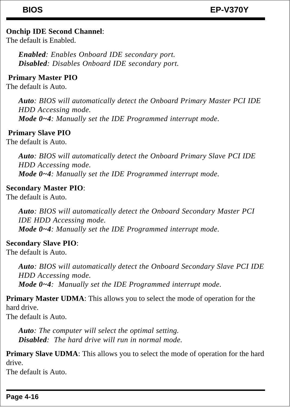#### **Onchip IDE Second Channel**:

The default is Enabled.

*Enabled: Enables Onboard IDE secondary port. Disabled: Disables Onboard IDE secondary port.*

#### **Primary Master PIO**

The default is Auto.

*Auto: BIOS will automatically detect the Onboard Primary Master PCI IDE HDD Accessing mode. Mode 0~4: Manually set the IDE Programmed interrupt mode.*

#### **Primary Slave PIO**

The default is Auto.

*Auto: BIOS will automatically detect the Onboard Primary Slave PCI IDE HDD Accessing mode. Mode 0~4: Manually set the IDE Programmed interrupt mode.*

#### **Secondary Master PIO**:

The default is Auto.

*Auto: BIOS will automatically detect the Onboard Secondary Master PCI IDE HDD Accessing mode. Mode 0~4: Manually set the IDE Programmed interrupt mode.*

#### **Secondary Slave PIO**:

The default is Auto.

*Auto: BIOS will automatically detect the Onboard Secondary Slave PCI IDE HDD Accessing mode. Mode 0~4: Manually set the IDE Programmed interrupt mode.*

**Primary Master UDMA**: This allows you to select the mode of operation for the hard drive. The default is Auto.

*Auto: The computer will select the optimal setting. Disabled: The hard drive will run in normal mode.*

**Primary Slave UDMA**: This allows you to select the mode of operation for the hard drive.

The default is Auto.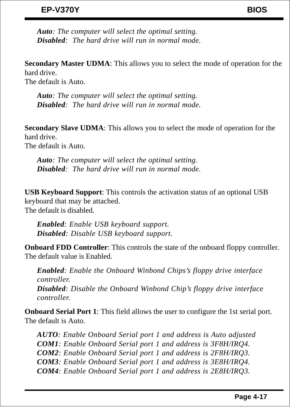*Auto: The computer will select the optimal setting. Disabled: The hard drive will run in normal mode.*

**Secondary Master UDMA**: This allows you to select the mode of operation for the hard drive.

The default is Auto.

*Auto: The computer will select the optimal setting. Disabled: The hard drive will run in normal mode.*

**Secondary Slave UDMA**: This allows you to select the mode of operation for the hard drive.

The default is Auto.

*Auto: The computer will select the optimal setting. Disabled: The hard drive will run in normal mode.*

**USB Keyboard Support**: This controls the activation status of an optional USB keyboard that may be attached. The default is disabled.

*Enabled: Enable USB keyboard support. Disabled: Disable USB keyboard support.*

**Onboard FDD Controller**: This controls the state of the onboard floppy controller. The default value is Enabled.

*Enabled: Enable the Onboard Winbond Chips's floppy drive interface controller. Disabled: Disable the Onboard Winbond Chip's floppy drive interface controller.*

**Onboard Serial Port 1**: This field allows the user to configure the 1st serial port. The default is Auto.

*AUTO: Enable Onboard Serial port 1 and address is Auto adjusted COM1: Enable Onboard Serial port 1 and address is 3F8H/IRQ4. COM2: Enable Onboard Serial port 1 and address is 2F8H/IRQ3. COM3: Enable Onboard Serial port 1 and address is 3E8H/IRQ4. COM4: Enable Onboard Serial port 1 and address is 2E8H/IRQ3.*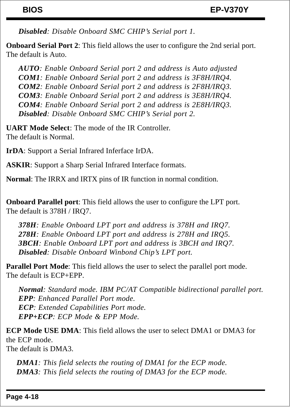*Disabled: Disable Onboard SMC CHIP's Serial port 1.*

**Onboard Serial Port 2**: This field allows the user to configure the 2nd serial port. The default is Auto.

*AUTO: Enable Onboard Serial port 2 and address is Auto adjusted COM1: Enable Onboard Serial port 2 and address is 3F8H/IRQ4. COM2: Enable Onboard Serial port 2 and address is 2F8H/IRQ3. COM3: Enable Onboard Serial port 2 and address is 3E8H/IRQ4. COM4: Enable Onboard Serial port 2 and address is 2E8H/IRQ3. Disabled: Disable Onboard SMC CHIP's Serial port 2.*

**UART Mode Select**: The mode of the IR Controller. The default is Normal.

**IrDA**: Support a Serial Infrared Inferface IrDA.

**ASKIR**: Support a Sharp Serial Infrared Interface formats.

**Normal**: The IRRX and IRTX pins of IR function in normal condition.

**Onboard Parallel port**: This field allows the user to configure the LPT port. The default is 378H / IRQ7.

*378H: Enable Onboard LPT port and address is 378H and IRQ7. 278H: Enable Onboard LPT port and address is 278H and IRQ5. 3BCH: Enable Onboard LPT port and address is 3BCH and IRQ7. Disabled: Disable Onboard Winbond Chip's LPT port.*

**Parallel Port Mode**: This field allows the user to select the parallel port mode. The default is ECP+EPP.

*Normal: Standard mode. IBM PC/AT Compatible bidirectional parallel port. EPP: Enhanced Parallel Port mode. ECP: Extended Capabilities Port mode. EPP+ECP: ECP Mode & EPP Mode.*

**ECP Mode USE DMA**: This field allows the user to select DMA1 or DMA3 for the ECP mode. The default is DMA3.

*DMA1: This field selects the routing of DMA1 for the ECP mode. DMA3: This field selects the routing of DMA3 for the ECP mode.*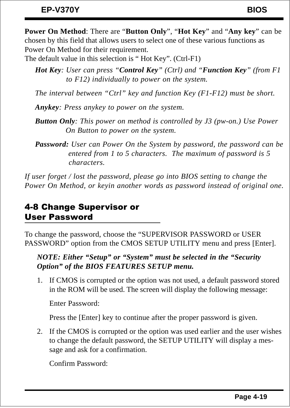**Power On Method**: There are "**Button Only**", "**Hot Key**" and "**Any key**" can be chosen by this field that allows users to select one of these various functions as Power On Method for their requirement.

The default value in this selection is " Hot Key". (Ctrl-F1)

*Hot Key: User can press "Control Key" (Ctrl) and "Function Key" (from F1 to F12) individually to power on the system.*

*The interval between "Ctrl" key and function Key (F1-F12) must be short.*

*Anykey: Press anykey to power on the system.*

*Button Only: This power on method is controlled by J3 (pw-on.) Use Power On Button to power on the system.*

*Password: User can Power On the System by password, the password can be entered from 1 to 5 characters. The maximum of password is 5 characters.*

*If user forget / lost the password, please go into BIOS setting to change the Power On Method, or keyin another words as password instead of original one.*

#### 4-8 Change Supervisor or User Password

To change the password, choose the "SUPERVISOR PASSWORD or USER PASSWORD" option from the CMOS SETUP UTILITY menu and press [Enter].

*NOTE: Either "Setup" or "System" must be selected in the "Security Option" of the BIOS FEATURES SETUP menu.*

1. If CMOS is corrupted or the option was not used, a default password stored in the ROM will be used. The screen will display the following message:

Enter Password:

Press the [Enter] key to continue after the proper password is given.

2. If the CMOS is corrupted or the option was used earlier and the user wishes to change the default password, the SETUP UTILITY will display a message and ask for a confirmation.

Confirm Password: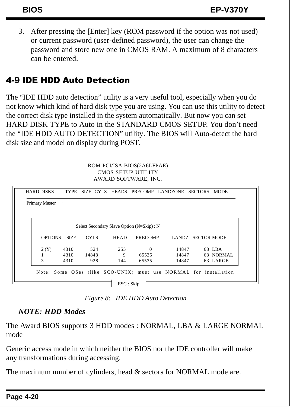3. After pressing the [Enter] key (ROM password if the option was not used) or current password (user-defined password), the user can change the password and store new one in CMOS RAM. A maximum of 8 characters can be entered.

#### 4-9 IDE HDD Auto Detection

The "IDE HDD auto detection" utility is a very useful tool, especially when you do not know which kind of hard disk type you are using. You can use this utility to detect the correct disk type installed in the system automatically. But now you can set HARD DISK TYPE to Auto in the STANDARD CMOS SETUP. You don't need the "IDE HDD AUTO DETECTION" utility. The BIOS will Auto-detect the hard disk size and model on display during POST.

#### ROM PCI/ISA BIOS(2A6LFPAE) CMOS SETUP UTILITY AWARD SOFTWARE, INC.

|                |             |       |             | Select Secondary Slave Option (N=Skip) : N |       |                          |           |
|----------------|-------------|-------|-------------|--------------------------------------------|-------|--------------------------|-----------|
| <b>OPTIONS</b> | <b>SIZE</b> | CYLS. | <b>HEAD</b> | <b>PRECOMP</b>                             |       | <b>LANDZ SECTOR MODE</b> |           |
| 2(Y)           | 4310        | 524   | 255         | $\Omega$                                   | 14847 |                          | 63 LBA    |
|                | 4310        | 14848 | 9           | 65535                                      | 14847 |                          | 63 NORMAL |
| 3              | 4310        | 928   | 144         | 65535                                      | 14847 |                          | 63 LARGE  |

*Figure 8: IDE HDD Auto Detection*

#### *NOTE: HDD Modes*

The Award BIOS supports 3 HDD modes : NORMAL, LBA & LARGE NORMAL mode

Generic access mode in which neither the BIOS nor the IDE controller will make any transformations during accessing.

The maximum number of cylinders, head & sectors for NORMAL mode are.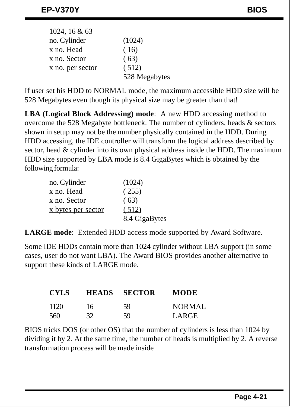| 1024, 16 $& 63$  |               |
|------------------|---------------|
| no. Cylinder     | (1024)        |
| x no. Head       | (16)          |
| x no. Sector     | (63)          |
| x no. per sector | (512)         |
|                  | 528 Megabytes |

If user set his HDD to NORMAL mode, the maximum accessible HDD size will be 528 Megabytes even though its physical size may be greater than that!

**LBA (Logical Block Addressing) mode**: A new HDD accessing method to overcome the 528 Megabyte bottleneck. The number of cylinders, heads & sectors shown in setup may not be the number physically contained in the HDD. During HDD accessing, the IDE controller will transform the logical address described by sector, head & cylinder into its own physical address inside the HDD. The maximum HDD size supported by LBA mode is 8.4 GigaBytes which is obtained by the following formula:

| (1024)        |
|---------------|
| (255)         |
| (63)          |
| (512)         |
| 8.4 GigaBytes |
|               |

**LARGE mode**: Extended HDD access mode supported by Award Software.

Some IDE HDDs contain more than 1024 cylinder without LBA support (in some cases, user do not want LBA). The Award BIOS provides another alternative to support these kinds of LARGE mode.

| <b>CYLS</b> | <b>HEADS</b> | <b>SECTOR</b> | <b>MODE</b> |
|-------------|--------------|---------------|-------------|
| 1120        | 16           | 59            | NORMAL      |
| 560         | 32.          | 59            | LARGE       |

BIOS tricks DOS (or other OS) that the number of cylinders is less than 1024 by dividing it by 2. At the same time, the number of heads is multiplied by 2. A reverse transformation process will be made inside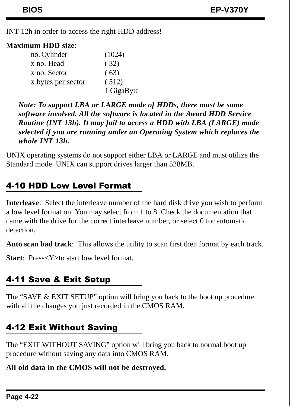INT 12h in order to access the right HDD address!

#### **Maximum HDD size**:

| no. Cylinder       | (1024)     |
|--------------------|------------|
| x no. Head         | (32)       |
| x no. Sector       | (63)       |
| x bytes per sector | (512)      |
|                    | 1 GigaByte |

*Note: To support LBA or LARGE mode of HDDs, there must be some software involved. All the software is located in the Award HDD Service Routine (INT 13h). It may fail to access a HDD with LBA (LARGE) mode selected if you are running under an Operating System which replaces the whole INT 13h.*

UNIX operating systems do not support either LBA or LARGE and must utilize the Standard mode. UNIX can support drives larger than 528MB.

### 4-10 HDD Low Level Format

**Interleave**: Select the interleave number of the hard disk drive you wish to perform a low level format on. You may select from 1 to 8. Check the documentation that came with the drive for the correct interleave number, or select 0 for automatic detection.

**Auto scan bad track**: This allows the utility to scan first then format by each track.

**Start:** Press<Y>to start low level format.

### 4-11 Save & Exit Setup

The "SAVE  $&$  EXIT SETUP" option will bring you back to the boot up procedure with all the changes you just recorded in the CMOS RAM.

### 4-12 Exit Without Saving

The "EXIT WITHOUT SAVING" option will bring you back to normal boot up procedure without saving any data into CMOS RAM.

### **All old data in the CMOS will not be destroyed.**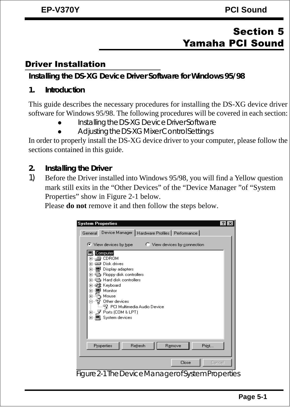### Section 5 Yamaha PCI Sound

#### Driver Installation

**Installing the DS-XG Device Driver Software for Windows 95/98**

#### *1. Introduction*

This guide describes the necessary procedures for installing the DS-XG device driver software for Windows 95/98. The following procedures will be covered in each section:

- Installing the DS-XG Device Driver Software
- Adjusting the DS-XG Mixer Control Settings

In order to properly install the DS-XG device driver to your computer, please follow the sections contained in this guide.

#### *2. Installing the Driver*

1) Before the Driver installed into Windows 95/98, you will find a Yellow question mark still exits in the "Other Devices" of the "Device Manager "of "System Properties" show in Figure 2-1 below.

Please **do not** remove it and then follow the steps below.



Figure 2-1 The Device Manager of System Properties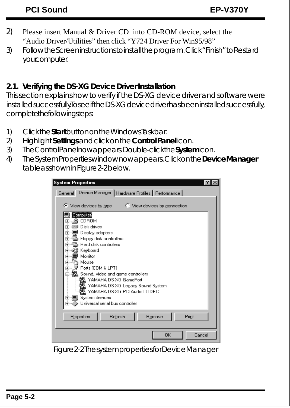#### **PCI Sound EP-V370Y**

- 2) Please insert Manual & Driver CD into CD-ROM device, select the "Audio Driver/Utilities" then click "Y724 Driver For Win95/98"
- 3) Follow the Screen instructions to install the program. Click "Finish" to Restard yourcomputer.

#### *2.1. Verifying the DS-XG Device Driver Installation*

This section explains how to verify if the DS-XG device driver and software were installed successfully. To see if the DS-XG device driver has been installed successfully, complete the following steps:

- 1) Click the **Start** button on the Windows Taskbar.
- 2) Highlight **Settings** and click on the **Control Panel** icon.
- 3) The Control Panel now appears. Double-click the **System** icon.
- 4) The System Properties window now appears. Click on the **Device Manager** table as shown in Figure 2-2 below.

| <b>System Properties</b>                                           |  |  |
|--------------------------------------------------------------------|--|--|
| Device Manager   Hardware Profiles   Performance  <br>General      |  |  |
|                                                                    |  |  |
| C View devices by connection<br>◯ View devices by type             |  |  |
| [Computer]<br>⊴9 CDROM<br>$\overline{+}$                           |  |  |
| Disk drives<br>$\overline{}$                                       |  |  |
| Display adapters<br>ஈ                                              |  |  |
| Floppy disk controllers<br>$\overline{+}$<br>Hard disk controllers |  |  |
| ஈ<br>Keyboard<br>ஈ                                                 |  |  |
| Monitor<br>⊞                                                       |  |  |
| Mouse<br>Ė                                                         |  |  |
| Ports (COM & LPT)<br>Ė<br>Sound, video and game controllers        |  |  |
| YAMAHA DS-XG GamePort                                              |  |  |
| YAMAHA DS-XG Legacy Sound System                                   |  |  |
| YAMAHA DS-XG PCI Audio CODEC<br>■ System devices<br>$\overline{+}$ |  |  |
| Universal serial bus controller<br>$\overline{+}$                  |  |  |
|                                                                    |  |  |
| Refresh<br>Print<br>Properties<br>Remove                           |  |  |
|                                                                    |  |  |
| OK<br>Cancel                                                       |  |  |

Figure 2-2 The system properties for Device Manager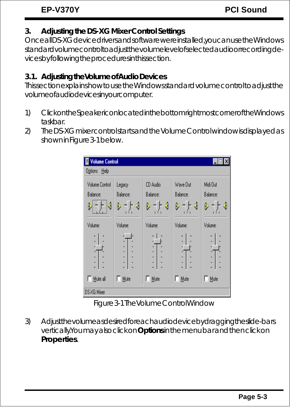#### *3. Adjusting the DS-XG Mixer Control Settings*

Once all DS-XG device drivers and software were installed, you can use the Windows standard volume control to adjust the volume level of selected audio or recording devices by following the procedures in this section.

#### *3.1. Adjusting the Volume of Audio Devices*

This section explains how to use the Windows standard volume control to adjust the volume of audio devices in your computer.

- 1) Click on the Speaker icon located in the bottom rightmost corner of the Windows taskbar.
- 2) The DS-XG mixer control starts and the *Volume Control* window is displayed as shown in Figure 3-1 below.



Figure 3-1 The Volume Control Window

3) Adjust the volume as desired for each audiodevice by dragging the slide-bars vertically. You may also click on**Options** in the menu bar and then click on **Properties**.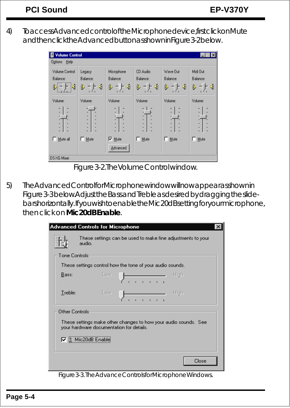4) To access Advanced control of the Microphone device, first click on Mute and then click the Advanced button as shown in Figure 3-2 below.



Figure 3-2. The Volume Control window.

5) The Advanced Control for Microphone window will now appear as shown in Figure 3-3 below. Adjust the Bass and Treble as desired by dragging the slidebars horizontally. If you wish to enable the Mic20dB setting for your microphone, then click on **Mic20dB Enable**.

|                                                                                                                                                             | <b>Advanced Controls for Microphone</b>                               |  |
|-------------------------------------------------------------------------------------------------------------------------------------------------------------|-----------------------------------------------------------------------|--|
|                                                                                                                                                             | These settings can be used to make fine adjustments to your<br>audio. |  |
| Tone Controls:                                                                                                                                              |                                                                       |  |
|                                                                                                                                                             | These settings control how the tone of your audio sounds.             |  |
| Bass:                                                                                                                                                       | High<br>Low                                                           |  |
| Treble:                                                                                                                                                     | High<br>Low                                                           |  |
| Other Controls:<br>These settings make other changes to how your audio sounds. See<br>your hardware documentation for details.<br><b>▽</b> 1 Mic20dB Enable |                                                                       |  |
|                                                                                                                                                             | Close                                                                 |  |

Figure 3-3. The Advance Controls for Microphone Windows.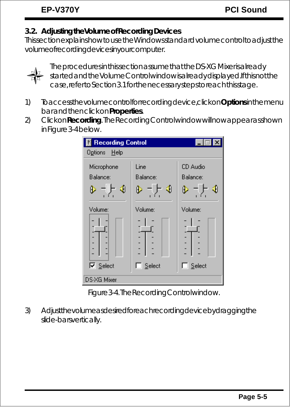#### *3.2. Adjusting the Volume of Recording Devices*

This section explains how to use the Windows standard volume control to adjust the volume of recording devices in your computer.



The procedures in this section assume that the DS-XG Mixer is already started and the *Volume Control* window is already displayed. If this not the case, refer to Section 3.1 for the necessary steps to reach this stage.

- 1) To access the volume control for recording device, click on **Options** in the menu bar and then click on **Properties**.
- 2) Click on **Recording**. The Recording Control window will now appear as shown in Figure 3-4 below.

| <b>Recording Control</b> |          |               |  |  |
|--------------------------|----------|---------------|--|--|
| Options Help             |          |               |  |  |
| Microphone               | Line     | CD Audio      |  |  |
| Balance:                 | Balance: | Balance:      |  |  |
| ∢                        | ∢        | $\bigoplus$   |  |  |
| Volume:                  | Volume:  | Volume:       |  |  |
|                          |          |               |  |  |
| $\nabla$ Select          | Select   | $\Box$ Select |  |  |
| DS-XG Mixer              |          |               |  |  |

Figure 3-4. The Recording Control window.

3) Adjust the volume as desired for each recording device by dragging the slide-barsvertically.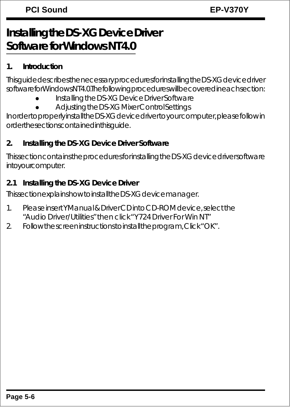### *Installing the DS-XG Device Driver Software for Windows NT 4.0*

#### *1. Introduction*

This guide describes the necessary procedures for installing the DS-XG device driver software for Windows NT 4.0. The following procedures will be covered in each section:

- Installing the DS-XG Device Driver Software
- Adjusting the DS-XG Mixer Control Settings

In order to properly install the DS-XG device driver to your computer, please follow in orderthesections contained in this guide.

#### *2. Installing the DS-XG Device Driver Software*

This section contains the procedures for installing the DS-XG device driver software into your computer.

#### *2.1 Installing the DS-XG Device Driver*

Thissection explains how to install the DS-XG device manager.

- 1. Please insert YManual & Driver CD into CD-ROM device, select the "Audio Driver/Utilities" then click "Y724 Driver For Win NT"
- 2. Follow the screen instructions to install the program, Click "OK".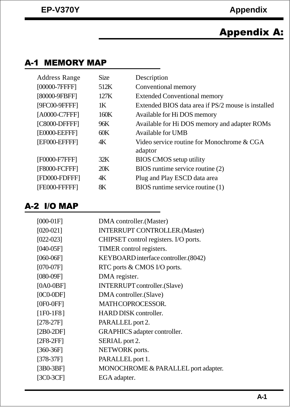### Appendix A:

### A-1 MEMORY MAP

| <b>Address Range</b> | <b>Size</b> | Description                                           |
|----------------------|-------------|-------------------------------------------------------|
| [00000-7FFFF]        | 512K        | Conventional memory                                   |
| [80000-9FBFF]        | 127K        | <b>Extended Conventional memory</b>                   |
| [9FC00-9FFFF]        | 1Κ          | Extended BIOS data area if PS/2 mouse is installed    |
| [A0000-C7FFF]        | 160K        | Available for Hi DOS memory                           |
| [C8000-DFFFF]        | 96K         | Available for Hi DOS memory and adapter ROMs          |
| [E0000-EEFFF]        | 60K         | Available for UMB                                     |
| <b>[EF000-EFFFF]</b> | 4K          | Video service routine for Monochrome & CGA<br>adaptor |
| [F0000-F7FFF]        | 32K         | <b>BIOS CMOS</b> setup utility                        |
| [F8000-FCFFF]        | 20K         | BIOS runtime service routine (2)                      |
| [FD000-FDFFF]        | 4K          | Plug and Play ESCD data area                          |
| <b>IFE000-FFFFFI</b> | 8K          | BIOS runtime service routine (1)                      |

#### A-2 I/O MAP

| $[000-01$ Fl | DMA controller. (Master)              |
|--------------|---------------------------------------|
| $[020-021]$  | <b>INTERRUPT CONTROLLER.</b> (Master) |
| $[022-023]$  | CHIPSET control registers. I/O ports. |
| $[040-05F]$  | TIMER control registers.              |
| $[060-06F]$  | KEYBOARD interface controller. (8042) |
| $[070-07F]$  | RTC ports & CMOS I/O ports.           |
| $[080-09F]$  | DMA register.                         |
| $[0A0-0BF]$  | INTERRUPT controller. (Slave)         |
| $[0C0-0DF]$  | DMA controller. (Slave)               |
| $[0F0-0FF]$  | <b>MATHCOPROCESSOR.</b>               |
| $[1F0-1F8]$  | HARD DISK controller.                 |
| $[278-27F]$  | PARALLEL port 2.                      |
| $[2B0-2DF]$  | GRAPHICS adapter controller.          |
| $[2F8-2FF]$  | SERIAL port 2.                        |
| $[360-36F]$  | NETWORK ports.                        |
| $[378-37F]$  | PARALLEL port 1.                      |
| $[3B0-3BF]$  | MONOCHROME & PARALLEL port adapter.   |
| [3C0-3CF]    | EGA adapter.                          |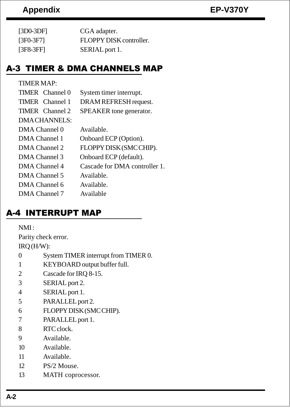#### **Appendix EP-V370Y**

| $[3D0-3DF]$ | CGA adapter.            |
|-------------|-------------------------|
| $[3F0-3F7]$ | FLOPPY DISK controller. |
| $[3F8-3FF]$ | SERIAL port 1.          |

#### A-3 TIMER & DMA CHANNELS MAP

| <b>TIMER MAP:</b> |                               |  |
|-------------------|-------------------------------|--|
| TIMER Channel 0   | System timer interrupt.       |  |
| TIMER Channel 1   | DRAM REFRESH request.         |  |
| TIMER Channel 2   | SPEAKER tone generator.       |  |
| DMA CHANNELS:     |                               |  |
| DMA Channel 0     | Available.                    |  |
| DMA Channel 1     | Onboard ECP (Option).         |  |
| DMA Channel 2     | FLOPPY DISK (SMCCHIP).        |  |
| DMA Channel 3     | Onboard ECP (default).        |  |
| DMA Channel 4     | Cascade for DMA controller 1. |  |
| DMA Channel 5     | Available.                    |  |
| DMA Channel 6     | Available.                    |  |
| DMA Channel 7     | Available                     |  |
|                   |                               |  |

#### A-4 INTERRUPT MAP

NMI :

Parity check error.

IRQ (H/W):

- 0 System TIMER interrupt from TIMER 0.
- 1 KEYBOARD output buffer full.
- 2 Cascade for IRQ 8-15.
- 3 SERIAL port 2.
- 4 SERIAL port 1.
- 5 PARALLEL port 2.
- 6 FLOPPY DISK (SMC CHIP).
- 7 PARALLEL port 1.
- 8 RTC clock.
- 9 Available.
- 10 Available.
- 11 Available.
- 12 PS/2 Mouse.
- 13 MATH coprocessor.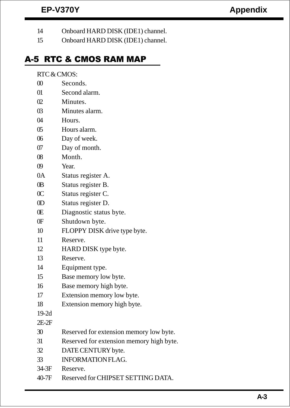- 14 Onboard HARD DISK (IDE1) channel.
- 15 Onboard HARD DISK (IDE1) channel.

#### A-5 RTC & CMOS RAM MAP

RTC & CMOS:

- 00 Seconds.
- 01 Second alarm.
- 02 Minutes.
- 03 Minutes alarm.
- 04 Hours.
- 05 Hours alarm.
- 06 Day of week.
- 07 Day of month.
- 08 Month.
- 09 Year.
- 0A Status register A.
- 0B Status register B.
- 0C Status register C.
- 0D Status register D.
- 0E Diagnostic status byte.
- 0F Shutdown byte.
- 10 FLOPPY DISK drive type byte.
- 11 Reserve.
- 12 HARD DISK type byte.
- 13 Reserve.
- 14 Equipment type.
- 15 Base memory low byte.
- 16 Base memory high byte.
- 17 Extension memory low byte.
- 18 Extension memory high byte.
- 19-2d

2E-2F

- 30 Reserved for extension memory low byte.
- 31 Reserved for extension memory high byte.
- 32 DATE CENTURY byte.
- 33 INFORMATION FLAG.
- 34-3F Reserve.
- 40-7F Reserved for CHIPSET SETTING DATA.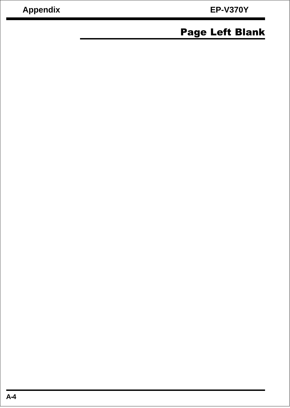# Page Left Blank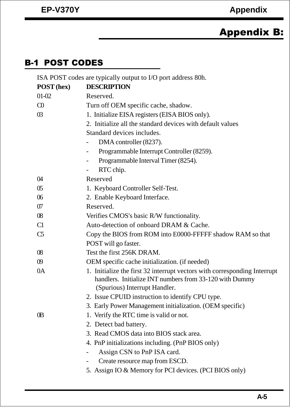## Appendix B:

### B-1 POST CODES

| ISA POST codes are typically output to I/O port address 80h.                                                                                                          |  |
|-----------------------------------------------------------------------------------------------------------------------------------------------------------------------|--|
| <b>DESCRIPTION</b>                                                                                                                                                    |  |
| Reserved.                                                                                                                                                             |  |
| Turn off OEM specific cache, shadow.                                                                                                                                  |  |
| 1. Initialize EISA registers (EISA BIOS only).                                                                                                                        |  |
| 2. Initialize all the standard devices with default values                                                                                                            |  |
| Standard devices includes.                                                                                                                                            |  |
| DMA controller (8237).                                                                                                                                                |  |
| Programmable Interrupt Controller (8259).<br>÷,                                                                                                                       |  |
| Programmable Interval Timer (8254).<br>$\overline{\phantom{0}}$                                                                                                       |  |
| RTC chip.<br>÷,                                                                                                                                                       |  |
| Reserved                                                                                                                                                              |  |
| 1. Keyboard Controller Self-Test.                                                                                                                                     |  |
| 2. Enable Keyboard Interface.                                                                                                                                         |  |
| Reserved.                                                                                                                                                             |  |
| Verifies CMOS's basic R/W functionality.                                                                                                                              |  |
| Auto-detection of onboard DRAM & Cache.                                                                                                                               |  |
| Copy the BIOS from ROM into E0000-FFFFF shadow RAM so that                                                                                                            |  |
| POST will go faster.                                                                                                                                                  |  |
| Test the first 256K DRAM.                                                                                                                                             |  |
| OEM specific cache initialization. (if needed)                                                                                                                        |  |
| 1. Initialize the first 32 interrupt vectors with corresponding Interrupt<br>handlers. Initialize INT numbers from 33-120 with Dummy<br>(Spurious) Interrupt Handler. |  |
| 2. Issue CPUID instruction to identify CPU type.                                                                                                                      |  |
| 3. Early Power Management initialization. (OEM specific)                                                                                                              |  |
| 1. Verify the RTC time is valid or not.                                                                                                                               |  |
| 2. Detect bad battery.                                                                                                                                                |  |
| 3. Read CMOS data into BIOS stack area.                                                                                                                               |  |
| 4. PnP initializations including. (PnP BIOS only)                                                                                                                     |  |
| Assign CSN to PnP ISA card.<br>-                                                                                                                                      |  |
| Create resource map from ESCD.                                                                                                                                        |  |
| 5. Assign IO & Memory for PCI devices. (PCI BIOS only)                                                                                                                |  |
|                                                                                                                                                                       |  |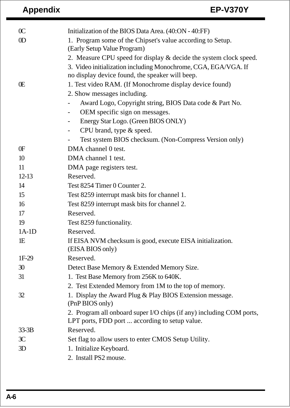| <b>Appendix</b> | <b>EP-V370Y</b>                                                                                                                     |  |
|-----------------|-------------------------------------------------------------------------------------------------------------------------------------|--|
| $\alpha$        | Initialization of the BIOS Data Area. (40:ON - 40:FF)                                                                               |  |
| 0D              | 1. Program some of the Chipset's value according to Setup.                                                                          |  |
|                 | (Early Setup Value Program)                                                                                                         |  |
|                 | 2. Measure CPU speed for display & decide the system clock speed.<br>3. Video initialization including Monochrome, CGA, EGA/VGA. If |  |
|                 | no display device found, the speaker will beep.                                                                                     |  |
| Œ               | 1. Test video RAM. (If Monochrome display device found)                                                                             |  |
|                 | 2. Show messages including.                                                                                                         |  |
|                 | Award Logo, Copyright string, BIOS Data code & Part No.                                                                             |  |
|                 | OEM specific sign on messages.<br>$\overline{a}$                                                                                    |  |
|                 | Energy Star Logo. (Green BIOS ONLY)                                                                                                 |  |
|                 | CPU brand, type & speed.                                                                                                            |  |
|                 | Test system BIOS checksum. (Non-Compress Version only)                                                                              |  |
| 0F              | DMA channel 0 test.                                                                                                                 |  |
| 10              | DMA channel 1 test.                                                                                                                 |  |
| 11              | DMA page registers test.                                                                                                            |  |
| $12 - 13$       | Reserved.                                                                                                                           |  |
| 14              | Test 8254 Timer 0 Counter 2.                                                                                                        |  |
| 15              | Test 8259 interrupt mask bits for channel 1.                                                                                        |  |
| 16              | Test 8259 interrupt mask bits for channel 2.                                                                                        |  |
| 17              | Reserved.                                                                                                                           |  |
| 19              | Test 8259 functionality.                                                                                                            |  |
| $1A-1D$         | Reserved.                                                                                                                           |  |
| 1E              | If EISA NVM checksum is good, execute EISA initialization.<br>(EISA BIOS only)                                                      |  |
| 1F-29           | Reserved.                                                                                                                           |  |
| 30              | Detect Base Memory & Extended Memory Size.                                                                                          |  |
| 31              | 1. Test Base Memory from 256K to 640K.                                                                                              |  |
|                 | 2. Test Extended Memory from 1M to the top of memory.                                                                               |  |
| 32              | 1. Display the Award Plug & Play BIOS Extension message.<br>(PnP BIOS only)                                                         |  |
|                 | 2. Program all onboard super I/O chips (if any) including COM ports,                                                                |  |
|                 | LPT ports, FDD port  according to setup value.                                                                                      |  |
| $33-3B$         | Reserved.                                                                                                                           |  |
| 3C              | Set flag to allow users to enter CMOS Setup Utility.                                                                                |  |
| 3D              | 1. Initialize Keyboard.                                                                                                             |  |
|                 | 2. Install PS2 mouse.                                                                                                               |  |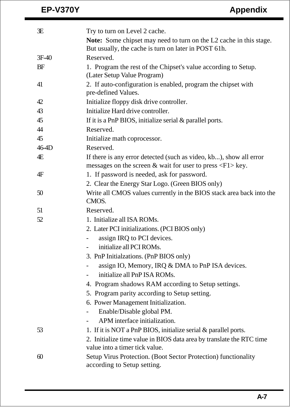| 3E    | Try to turn on Level 2 cache.                                                                                                           |  |
|-------|-----------------------------------------------------------------------------------------------------------------------------------------|--|
|       | Note: Some chipset may need to turn on the L2 cache in this stage.<br>But usually, the cache is turn on later in POST 61h.              |  |
| 3F-40 | Reserved.                                                                                                                               |  |
| BF    | 1. Program the rest of the Chipset's value according to Setup.<br>(Later Setup Value Program)                                           |  |
| 41    | 2. If auto-configuration is enabled, program the chipset with<br>pre-defined Values.                                                    |  |
| 42    | Initialize floppy disk drive controller.                                                                                                |  |
| 43    | Initialize Hard drive controller.                                                                                                       |  |
| 45    | If it is a PnP BIOS, initialize serial $&$ parallel ports.                                                                              |  |
| 44    | Reserved.                                                                                                                               |  |
| 45    | Initialize math coprocessor.                                                                                                            |  |
| 46-4D | Reserved.                                                                                                                               |  |
| 4E    | If there is any error detected (such as video, kb), show all error<br>messages on the screen $\&$ wait for user to press <f1> key.</f1> |  |
| 4F    | 1. If password is needed, ask for password.                                                                                             |  |
|       | 2. Clear the Energy Star Logo. (Green BIOS only)                                                                                        |  |
| 50    | Write all CMOS values currently in the BIOS stack area back into the<br>CMOS.                                                           |  |
| 51    | Reserved.                                                                                                                               |  |
| 52    | 1. Initialize all ISA ROMs.                                                                                                             |  |
|       | 2. Later PCI initializations. (PCI BIOS only)                                                                                           |  |
|       | assign IRQ to PCI devices.<br>$\blacksquare$                                                                                            |  |
|       | initialize all PCI ROMs.                                                                                                                |  |
|       | 3. PnP Initialzations. (PnP BIOS only)                                                                                                  |  |
|       | assign IO, Memory, IRQ & DMA to PnP ISA devices.<br>$\overline{\phantom{0}}$                                                            |  |
|       | initialize all PnP ISA ROMs.                                                                                                            |  |
|       | 4. Program shadows RAM according to Setup settings.                                                                                     |  |
|       | 5. Program parity according to Setup setting.                                                                                           |  |
|       | 6. Power Management Initialization.                                                                                                     |  |
|       | Enable/Disable global PM.<br>÷,                                                                                                         |  |
|       | APM interface initialization.                                                                                                           |  |
| 53    | 1. If it is NOT a PnP BIOS, initialize serial & parallel ports.                                                                         |  |
|       | 2. Initialize time value in BIOS data area by translate the RTC time                                                                    |  |
|       | value into a timer tick value.                                                                                                          |  |
| 60    | Setup Virus Protection. (Boot Sector Protection) functionality<br>according to Setup setting.                                           |  |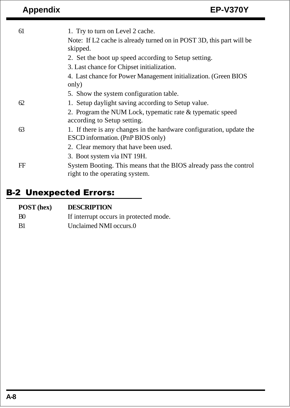| <b>Appendix</b> | <b>EP-V370Y</b>                                                                                           |
|-----------------|-----------------------------------------------------------------------------------------------------------|
| 61              | 1. Try to turn on Level 2 cache.                                                                          |
|                 | Note: If L2 cache is already turned on in POST 3D, this part will be<br>skipped.                          |
|                 | 2. Set the boot up speed according to Setup setting.                                                      |
|                 | 3. Last chance for Chipset initialization.                                                                |
|                 | 4. Last chance for Power Management initialization. (Green BIOS<br>only)                                  |
|                 | 5. Show the system configuration table.                                                                   |
| 62              | 1. Setup daylight saving according to Setup value.                                                        |
|                 | 2. Program the NUM Lock, typematic rate & typematic speed<br>according to Setup setting.                  |
| 63              | 1. If there is any changes in the hardware configuration, update the<br>ESCD information. (PnP BIOS only) |
|                 | 2. Clear memory that have been used.                                                                      |
|                 | 3. Boot system via INT 19H.                                                                               |
| FF              | System Booting. This means that the BIOS already pass the control<br>right to the operating system.       |

### B-2 Unexpected Errors:

| POST (hex) | <b>DESCRIPTION</b>                     |  |
|------------|----------------------------------------|--|
| BO.        | If interrupt occurs in protected mode. |  |
| B1         | Unclaimed NMI occurs.0                 |  |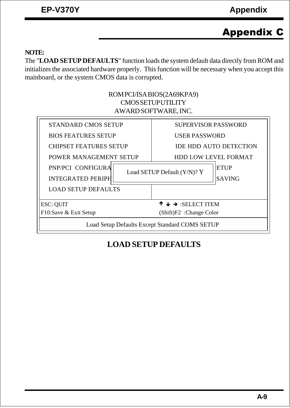### Appendix C

#### **NOTE:**

The "**LOAD SETUP DEFAULTS**" function loads the system default data directly from ROM and initializes the associated hardware properly. This function will be necessary when you accept this mainboard, or the system CMOS data is corrupted.

#### ROM PCI/ISA BIOS(2A69KPA9) CMOS SETUP UTILITY AWARD SOFTWARE, INC.

| STANDARD CMOS SETUP                            | SUPERVISOR PASSWORD                        |  |  |  |
|------------------------------------------------|--------------------------------------------|--|--|--|
| <b>BIOS FEATURES SETUP</b>                     | <b>USER PASSWORD</b>                       |  |  |  |
| <b>CHIPSET FEATURES SETUP</b>                  | <b>IDE HDD AUTO DETECTION</b>              |  |  |  |
| POWER MANAGEMENT SETUP                         | <b>HDD LOW LEVEL FORMAT</b>                |  |  |  |
| PNP/PCI CONFIGURA                              | <b>ETUP</b><br>Load SETUP Default (Y/N)? Y |  |  |  |
| <b>INTEGRATED PERIPH</b>                       | <b>SAVING</b>                              |  |  |  |
| <b>LOAD SETUP DEFAULTS</b>                     |                                            |  |  |  |
| <b>ESC: QUIT</b>                               | $\downarrow$ $\rightarrow$ :SELECT ITEM    |  |  |  |
| F10:Save & Exit Setup                          | $(Shift)F2$ : Change Color                 |  |  |  |
| Load Setup Defaults Except Standard COMS SETUP |                                            |  |  |  |

#### **LOAD SETUP DEFAULTS**